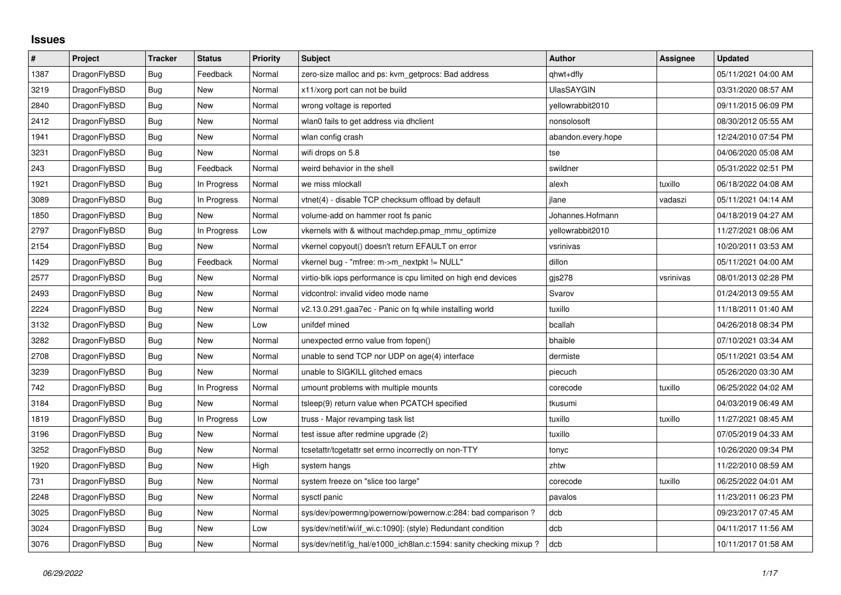## **Issues**

| $\vert$ # | Project      | <b>Tracker</b> | <b>Status</b> | <b>Priority</b> | <b>Subject</b>                                                    | <b>Author</b>      | Assignee  | <b>Updated</b>      |
|-----------|--------------|----------------|---------------|-----------------|-------------------------------------------------------------------|--------------------|-----------|---------------------|
| 1387      | DragonFlyBSD | Bug            | Feedback      | Normal          | zero-size malloc and ps: kvm_getprocs: Bad address                | qhwt+dfly          |           | 05/11/2021 04:00 AM |
| 3219      | DragonFlyBSD | <b>Bug</b>     | <b>New</b>    | Normal          | x11/xorg port can not be build                                    | UlasSAYGIN         |           | 03/31/2020 08:57 AM |
| 2840      | DragonFlyBSD | Bug            | New           | Normal          | wrong voltage is reported                                         | yellowrabbit2010   |           | 09/11/2015 06:09 PM |
| 2412      | DragonFlyBSD | Bug            | <b>New</b>    | Normal          | wlan0 fails to get address via dhclient                           | nonsolosoft        |           | 08/30/2012 05:55 AM |
| 1941      | DragonFlyBSD | <b>Bug</b>     | New           | Normal          | wlan config crash                                                 | abandon.every.hope |           | 12/24/2010 07:54 PM |
| 3231      | DragonFlyBSD | Bug            | New           | Normal          | wifi drops on 5.8                                                 | tse                |           | 04/06/2020 05:08 AM |
| 243       | DragonFlyBSD | Bug            | Feedback      | Normal          | weird behavior in the shell                                       | swildner           |           | 05/31/2022 02:51 PM |
| 1921      | DragonFlyBSD | Bug            | In Progress   | Normal          | we miss mlockall                                                  | alexh              | tuxillo   | 06/18/2022 04:08 AM |
| 3089      | DragonFlyBSD | <b>Bug</b>     | In Progress   | Normal          | vtnet(4) - disable TCP checksum offload by default                | jlane              | vadaszi   | 05/11/2021 04:14 AM |
| 1850      | DragonFlyBSD | <b>Bug</b>     | <b>New</b>    | Normal          | volume-add on hammer root fs panic                                | Johannes.Hofmann   |           | 04/18/2019 04:27 AM |
| 2797      | DragonFlyBSD | Bug            | In Progress   | Low             | vkernels with & without machdep.pmap_mmu_optimize                 | yellowrabbit2010   |           | 11/27/2021 08:06 AM |
| 2154      | DragonFlyBSD | <b>Bug</b>     | New           | Normal          | vkernel copyout() doesn't return EFAULT on error                  | vsrinivas          |           | 10/20/2011 03:53 AM |
| 1429      | DragonFlyBSD | Bug            | Feedback      | Normal          | vkernel bug - "mfree: m->m_nextpkt != NULL"                       | dillon             |           | 05/11/2021 04:00 AM |
| 2577      | DragonFlyBSD | <b>Bug</b>     | New           | Normal          | virtio-blk iops performance is cpu limited on high end devices    | gjs278             | vsrinivas | 08/01/2013 02:28 PM |
| 2493      | DragonFlyBSD | <b>Bug</b>     | New           | Normal          | vidcontrol: invalid video mode name                               | Svarov             |           | 01/24/2013 09:55 AM |
| 2224      | DragonFlyBSD | Bug            | <b>New</b>    | Normal          | v2.13.0.291.gaa7ec - Panic on fq while installing world           | tuxillo            |           | 11/18/2011 01:40 AM |
| 3132      | DragonFlyBSD | Bug            | New           | Low             | unifdef mined                                                     | bcallah            |           | 04/26/2018 08:34 PM |
| 3282      | DragonFlyBSD | <b>Bug</b>     | New           | Normal          | unexpected errno value from fopen()                               | bhaible            |           | 07/10/2021 03:34 AM |
| 2708      | DragonFlyBSD | Bug            | New           | Normal          | unable to send TCP nor UDP on age(4) interface                    | dermiste           |           | 05/11/2021 03:54 AM |
| 3239      | DragonFlyBSD | <b>Bug</b>     | New           | Normal          | unable to SIGKILL glitched emacs                                  | piecuch            |           | 05/26/2020 03:30 AM |
| 742       | DragonFlyBSD | <b>Bug</b>     | In Progress   | Normal          | umount problems with multiple mounts                              | corecode           | tuxillo   | 06/25/2022 04:02 AM |
| 3184      | DragonFlyBSD | <b>Bug</b>     | New           | Normal          | tsleep(9) return value when PCATCH specified                      | tkusumi            |           | 04/03/2019 06:49 AM |
| 1819      | DragonFlyBSD | Bug            | In Progress   | Low             | truss - Major revamping task list                                 | tuxillo            | tuxillo   | 11/27/2021 08:45 AM |
| 3196      | DragonFlyBSD | <b>Bug</b>     | New           | Normal          | test issue after redmine upgrade (2)                              | tuxillo            |           | 07/05/2019 04:33 AM |
| 3252      | DragonFlyBSD | <b>Bug</b>     | <b>New</b>    | Normal          | tcsetattr/tcgetattr set errno incorrectly on non-TTY              | tonyc              |           | 10/26/2020 09:34 PM |
| 1920      | DragonFlyBSD | Bug            | New           | High            | system hangs                                                      | zhtw               |           | 11/22/2010 08:59 AM |
| 731       | DragonFlyBSD | <b>Bug</b>     | New           | Normal          | system freeze on "slice too large"                                | corecode           | tuxillo   | 06/25/2022 04:01 AM |
| 2248      | DragonFlyBSD | <b>Bug</b>     | <b>New</b>    | Normal          | sysctl panic                                                      | pavalos            |           | 11/23/2011 06:23 PM |
| 3025      | DragonFlyBSD | <b>Bug</b>     | New           | Normal          | sys/dev/powermng/powernow/powernow.c:284: bad comparison?         | dcb                |           | 09/23/2017 07:45 AM |
| 3024      | DragonFlyBSD | Bug            | New           | Low             | sys/dev/netif/wi/if wi.c:1090]: (style) Redundant condition       | dcb                |           | 04/11/2017 11:56 AM |
| 3076      | DragonFlyBSD | Bug            | New           | Normal          | sys/dev/netif/ig_hal/e1000_ich8lan.c:1594: sanity checking mixup? | dcb                |           | 10/11/2017 01:58 AM |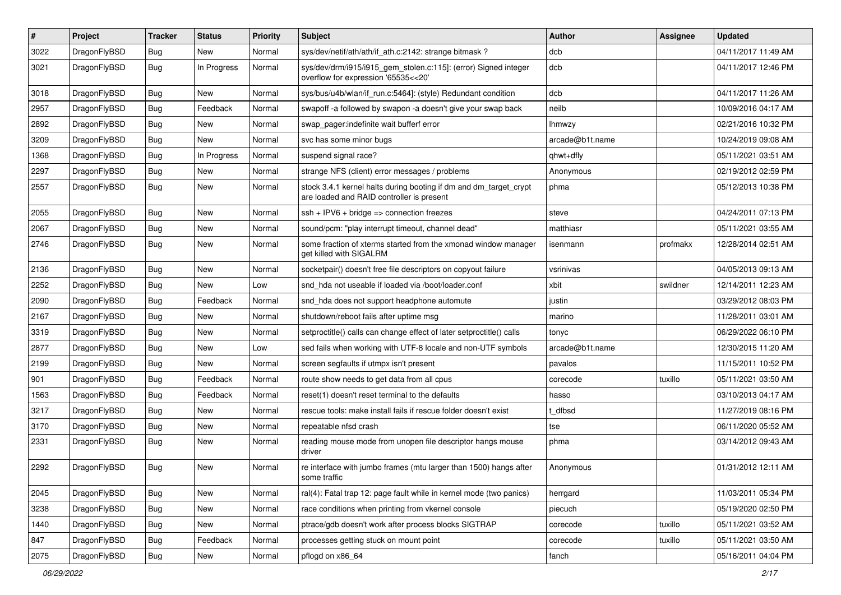| $\sharp$ | Project      | <b>Tracker</b> | <b>Status</b> | <b>Priority</b> | Subject                                                                                                        | <b>Author</b>   | Assignee | <b>Updated</b>      |
|----------|--------------|----------------|---------------|-----------------|----------------------------------------------------------------------------------------------------------------|-----------------|----------|---------------------|
| 3022     | DragonFlyBSD | <b>Bug</b>     | New           | Normal          | sys/dev/netif/ath/ath/if ath.c:2142: strange bitmask?                                                          | dcb             |          | 04/11/2017 11:49 AM |
| 3021     | DragonFlyBSD | Bug            | In Progress   | Normal          | sys/dev/drm/i915/i915_gem_stolen.c:115]: (error) Signed integer<br>overflow for expression '65535<<20'         | dcb             |          | 04/11/2017 12:46 PM |
| 3018     | DragonFlyBSD | Bug            | <b>New</b>    | Normal          | sys/bus/u4b/wlan/if_run.c:5464]: (style) Redundant condition                                                   | dcb             |          | 04/11/2017 11:26 AM |
| 2957     | DragonFlyBSD | Bug            | Feedback      | Normal          | swapoff -a followed by swapon -a doesn't give your swap back                                                   | neilb           |          | 10/09/2016 04:17 AM |
| 2892     | DragonFlyBSD | <b>Bug</b>     | New           | Normal          | swap pager:indefinite wait bufferf error                                                                       | <b>Ihmwzy</b>   |          | 02/21/2016 10:32 PM |
| 3209     | DragonFlyBSD | Bug            | New           | Normal          | svc has some minor bugs                                                                                        | arcade@b1t.name |          | 10/24/2019 09:08 AM |
| 1368     | DragonFlyBSD | <b>Bug</b>     | In Progress   | Normal          | suspend signal race?                                                                                           | qhwt+dfly       |          | 05/11/2021 03:51 AM |
| 2297     | DragonFlyBSD | <b>Bug</b>     | New           | Normal          | strange NFS (client) error messages / problems                                                                 | Anonymous       |          | 02/19/2012 02:59 PM |
| 2557     | DragonFlyBSD | Bug            | New           | Normal          | stock 3.4.1 kernel halts during booting if dm and dm_target_crypt<br>are loaded and RAID controller is present | phma            |          | 05/12/2013 10:38 PM |
| 2055     | DragonFlyBSD | Bug            | <b>New</b>    | Normal          | $ssh + IPV6 + bridge \Rightarrow connection freezes$                                                           | steve           |          | 04/24/2011 07:13 PM |
| 2067     | DragonFlyBSD | <b>Bug</b>     | New           | Normal          | sound/pcm: "play interrupt timeout, channel dead"                                                              | matthiasr       |          | 05/11/2021 03:55 AM |
| 2746     | DragonFlyBSD | <b>Bug</b>     | New           | Normal          | some fraction of xterms started from the xmonad window manager<br>get killed with SIGALRM                      | isenmann        | profmakx | 12/28/2014 02:51 AM |
| 2136     | DragonFlyBSD | Bug            | New           | Normal          | socketpair() doesn't free file descriptors on copyout failure                                                  | vsrinivas       |          | 04/05/2013 09:13 AM |
| 2252     | DragonFlyBSD | <b>Bug</b>     | New           | Low             | snd_hda not useable if loaded via /boot/loader.conf                                                            | xbit            | swildner | 12/14/2011 12:23 AM |
| 2090     | DragonFlyBSD | Bug            | Feedback      | Normal          | snd_hda does not support headphone automute                                                                    | justin          |          | 03/29/2012 08:03 PM |
| 2167     | DragonFlyBSD | <b>Bug</b>     | New           | Normal          | shutdown/reboot fails after uptime msg                                                                         | marino          |          | 11/28/2011 03:01 AM |
| 3319     | DragonFlyBSD | <b>Bug</b>     | New           | Normal          | setproctitle() calls can change effect of later setproctitle() calls                                           | tonyc           |          | 06/29/2022 06:10 PM |
| 2877     | DragonFlyBSD | <b>Bug</b>     | New           | Low             | sed fails when working with UTF-8 locale and non-UTF symbols                                                   | arcade@b1t.name |          | 12/30/2015 11:20 AM |
| 2199     | DragonFlyBSD | <b>Bug</b>     | New           | Normal          | screen segfaults if utmpx isn't present                                                                        | pavalos         |          | 11/15/2011 10:52 PM |
| 901      | DragonFlyBSD | Bug            | Feedback      | Normal          | route show needs to get data from all cpus                                                                     | corecode        | tuxillo  | 05/11/2021 03:50 AM |
| 1563     | DragonFlyBSD | <b>Bug</b>     | Feedback      | Normal          | reset(1) doesn't reset terminal to the defaults                                                                | hasso           |          | 03/10/2013 04:17 AM |
| 3217     | DragonFlyBSD | <b>Bug</b>     | New           | Normal          | rescue tools: make install fails if rescue folder doesn't exist                                                | t dfbsd         |          | 11/27/2019 08:16 PM |
| 3170     | DragonFlyBSD | Bug            | New           | Normal          | repeatable nfsd crash                                                                                          | tse             |          | 06/11/2020 05:52 AM |
| 2331     | DragonFlyBSD | Bug            | New           | Normal          | reading mouse mode from unopen file descriptor hangs mouse<br>driver                                           | phma            |          | 03/14/2012 09:43 AM |
| 2292     | DragonFlyBSD | Bug            | New           | Normal          | re interface with jumbo frames (mtu larger than 1500) hangs after<br>some traffic                              | Anonymous       |          | 01/31/2012 12:11 AM |
| 2045     | DragonFlyBSD | <b>Bug</b>     | <b>New</b>    | Normal          | ral(4): Fatal trap 12: page fault while in kernel mode (two panics)                                            | herrgard        |          | 11/03/2011 05:34 PM |
| 3238     | DragonFlyBSD | <b>Bug</b>     | New           | Normal          | race conditions when printing from vkernel console                                                             | piecuch         |          | 05/19/2020 02:50 PM |
| 1440     | DragonFlyBSD | <b>Bug</b>     | New           | Normal          | ptrace/gdb doesn't work after process blocks SIGTRAP                                                           | corecode        | tuxillo  | 05/11/2021 03:52 AM |
| 847      | DragonFlyBSD | <b>Bug</b>     | Feedback      | Normal          | processes getting stuck on mount point                                                                         | corecode        | tuxillo  | 05/11/2021 03:50 AM |
| 2075     | DragonFlyBSD | Bug            | New           | Normal          | pflogd on x86_64                                                                                               | fanch           |          | 05/16/2011 04:04 PM |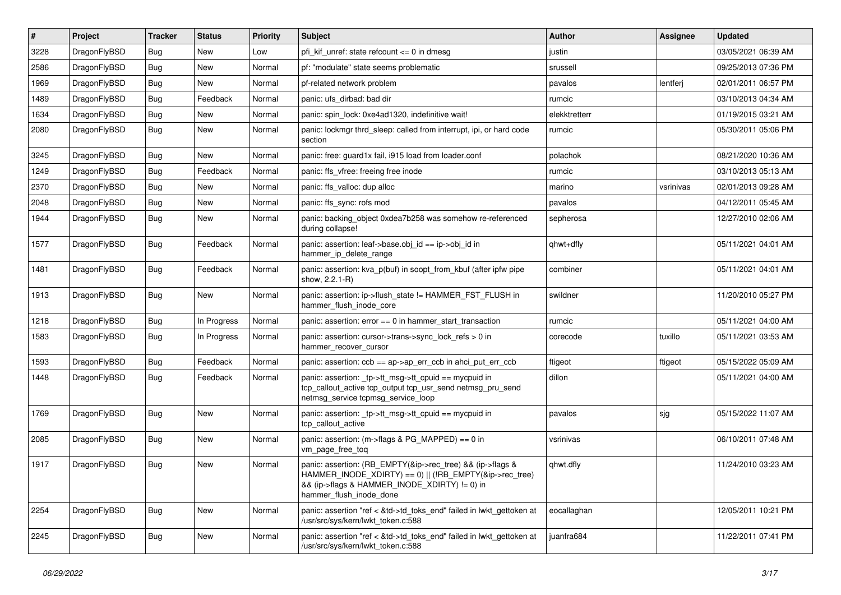| $\vert$ # | Project      | <b>Tracker</b> | <b>Status</b> | <b>Priority</b> | Subject                                                                                                                                                                                           | <b>Author</b> | Assignee  | <b>Updated</b>      |
|-----------|--------------|----------------|---------------|-----------------|---------------------------------------------------------------------------------------------------------------------------------------------------------------------------------------------------|---------------|-----------|---------------------|
| 3228      | DragonFlyBSD | Bug            | New           | Low             | pfi kif unref: state refcount $\leq$ 0 in dmesg                                                                                                                                                   | justin        |           | 03/05/2021 06:39 AM |
| 2586      | DragonFlyBSD | Bug            | New           | Normal          | pf: "modulate" state seems problematic                                                                                                                                                            | srussell      |           | 09/25/2013 07:36 PM |
| 1969      | DragonFlyBSD | Bug            | New           | Normal          | pf-related network problem                                                                                                                                                                        | pavalos       | lentferj  | 02/01/2011 06:57 PM |
| 1489      | DragonFlyBSD | <b>Bug</b>     | Feedback      | Normal          | panic: ufs dirbad: bad dir                                                                                                                                                                        | rumcic        |           | 03/10/2013 04:34 AM |
| 1634      | DragonFlyBSD | <b>Bug</b>     | <b>New</b>    | Normal          | panic: spin lock: 0xe4ad1320, indefinitive wait!                                                                                                                                                  | elekktretterr |           | 01/19/2015 03:21 AM |
| 2080      | DragonFlyBSD | <b>Bug</b>     | New           | Normal          | panic: lockmgr thrd sleep: called from interrupt, ipi, or hard code<br>section                                                                                                                    | rumcic        |           | 05/30/2011 05:06 PM |
| 3245      | DragonFlyBSD | <b>Bug</b>     | New           | Normal          | panic: free: guard1x fail, i915 load from loader.conf                                                                                                                                             | polachok      |           | 08/21/2020 10:36 AM |
| 1249      | DragonFlyBSD | <b>Bug</b>     | Feedback      | Normal          | panic: ffs vfree: freeing free inode                                                                                                                                                              | rumcic        |           | 03/10/2013 05:13 AM |
| 2370      | DragonFlyBSD | <b>Bug</b>     | New           | Normal          | panic: ffs valloc: dup alloc                                                                                                                                                                      | marino        | vsrinivas | 02/01/2013 09:28 AM |
| 2048      | DragonFlyBSD | Bug            | New           | Normal          | panic: ffs sync: rofs mod                                                                                                                                                                         | pavalos       |           | 04/12/2011 05:45 AM |
| 1944      | DragonFlyBSD | Bug            | New           | Normal          | panic: backing_object 0xdea7b258 was somehow re-referenced<br>during collapse!                                                                                                                    | sepherosa     |           | 12/27/2010 02:06 AM |
| 1577      | DragonFlyBSD | Bug            | Feedback      | Normal          | panic: assertion: leaf->base.obj_id == ip->obj_id in<br>hammer_ip_delete_range                                                                                                                    | qhwt+dfly     |           | 05/11/2021 04:01 AM |
| 1481      | DragonFlyBSD | Bug            | Feedback      | Normal          | panic: assertion: kva_p(buf) in soopt_from_kbuf (after ipfw pipe<br>show, 2.2.1-R)                                                                                                                | combiner      |           | 05/11/2021 04:01 AM |
| 1913      | DragonFlyBSD | Bug            | New           | Normal          | panic: assertion: ip->flush_state != HAMMER_FST_FLUSH in<br>hammer_flush_inode_core                                                                                                               | swildner      |           | 11/20/2010 05:27 PM |
| 1218      | DragonFlyBSD | <b>Bug</b>     | In Progress   | Normal          | panic: assertion: $error == 0$ in hammer start transaction                                                                                                                                        | rumcic        |           | 05/11/2021 04:00 AM |
| 1583      | DragonFlyBSD | <b>Bug</b>     | In Progress   | Normal          | panic: assertion: cursor->trans->sync_lock_refs > 0 in<br>hammer_recover_cursor                                                                                                                   | corecode      | tuxillo   | 05/11/2021 03:53 AM |
| 1593      | DragonFlyBSD | <b>Bug</b>     | Feedback      | Normal          | panic: assertion: $ccb == ap$ ap- $\geq$ err $ccb$ in ahci put err $ccb$                                                                                                                          | ftigeot       | ftigeot   | 05/15/2022 05:09 AM |
| 1448      | DragonFlyBSD | Bug            | Feedback      | Normal          | panic: assertion: _tp->tt_msg->tt_cpuid == mycpuid in<br>tcp_callout_active tcp_output tcp_usr_send netmsg_pru_send<br>netmsg_service tcpmsg_service_loop                                         | dillon        |           | 05/11/2021 04:00 AM |
| 1769      | DragonFlyBSD | <b>Bug</b>     | New           | Normal          | panic: assertion: _tp->tt_msg->tt_cpuid == mycpuid in<br>tcp callout active                                                                                                                       | pavalos       | sjg       | 05/15/2022 11:07 AM |
| 2085      | DragonFlyBSD | Bug            | New           | Normal          | panic: assertion: (m->flags & PG_MAPPED) == 0 in<br>vm_page_free_toq                                                                                                                              | vsrinivas     |           | 06/10/2011 07:48 AM |
| 1917      | DragonFlyBSD | <b>Bug</b>     | New           | Normal          | panic: assertion: (RB_EMPTY(&ip->rec_tree) && (ip->flags &<br>HAMMER_INODE_XDIRTY) == 0)    (!RB_EMPTY(&ip->rec_tree)<br>&& (ip->flags & HAMMER_INODE_XDIRTY) != 0) in<br>hammer_flush_inode_done | qhwt.dfly     |           | 11/24/2010 03:23 AM |
| 2254      | DragonFlyBSD | <b>Bug</b>     | New           | Normal          | panic: assertion "ref < &td->td_toks_end" failed in lwkt_gettoken at<br>/usr/src/sys/kern/lwkt_token.c:588                                                                                        | eocallaghan   |           | 12/05/2011 10:21 PM |
| 2245      | DragonFlyBSD | Bug            | New           | Normal          | panic: assertion "ref < &td->td_toks_end" failed in lwkt_gettoken at<br>/usr/src/sys/kern/lwkt_token.c:588                                                                                        | juanfra684    |           | 11/22/2011 07:41 PM |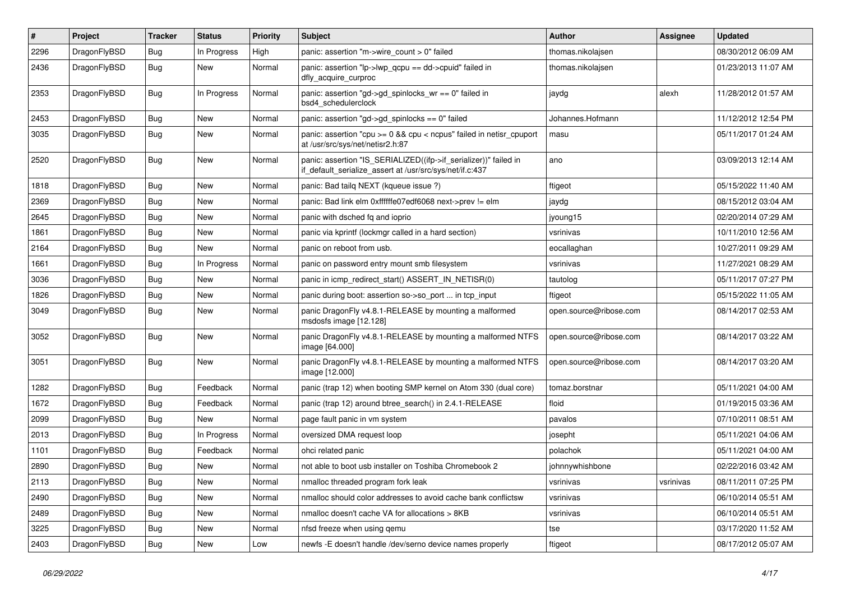| #    | Project      | <b>Tracker</b> | <b>Status</b> | <b>Priority</b> | <b>Subject</b>                                                                                                               | <b>Author</b>          | <b>Assignee</b> | <b>Updated</b>      |
|------|--------------|----------------|---------------|-----------------|------------------------------------------------------------------------------------------------------------------------------|------------------------|-----------------|---------------------|
| 2296 | DragonFlyBSD | <b>Bug</b>     | In Progress   | High            | panic: assertion "m->wire count > 0" failed                                                                                  | thomas.nikolajsen      |                 | 08/30/2012 06:09 AM |
| 2436 | DragonFlyBSD | <b>Bug</b>     | New           | Normal          | panic: assertion "lp->lwp_qcpu == dd->cpuid" failed in<br>dfly_acquire_curproc                                               | thomas.nikolajsen      |                 | 01/23/2013 11:07 AM |
| 2353 | DragonFlyBSD | Bug            | In Progress   | Normal          | panic: assertion "gd->gd_spinlocks_wr == 0" failed in<br>bsd4_schedulerclock                                                 | jaydg                  | alexh           | 11/28/2012 01:57 AM |
| 2453 | DragonFlyBSD | <b>Bug</b>     | New           | Normal          | panic: assertion "gd->gd_spinlocks == 0" failed                                                                              | Johannes.Hofmann       |                 | 11/12/2012 12:54 PM |
| 3035 | DragonFlyBSD | <b>Bug</b>     | New           | Normal          | panic: assertion "cpu >= 0 && cpu < ncpus" failed in netisr_cpuport<br>at /usr/src/sys/net/netisr2.h:87                      | masu                   |                 | 05/11/2017 01:24 AM |
| 2520 | DragonFlyBSD | <b>Bug</b>     | New           | Normal          | panic: assertion "IS_SERIALIZED((ifp->if_serializer))" failed in<br>if default serialize assert at /usr/src/sys/net/if.c:437 | ano                    |                 | 03/09/2013 12:14 AM |
| 1818 | DragonFlyBSD | <b>Bug</b>     | New           | Normal          | panic: Bad tailq NEXT (kqueue issue ?)                                                                                       | ftigeot                |                 | 05/15/2022 11:40 AM |
| 2369 | DragonFlyBSD | <b>Bug</b>     | New           | Normal          | panic: Bad link elm 0xffffffe07edf6068 next->prev != elm                                                                     | jaydg                  |                 | 08/15/2012 03:04 AM |
| 2645 | DragonFlyBSD | <b>Bug</b>     | New           | Normal          | panic with dsched fq and ioprio                                                                                              | jyoung15               |                 | 02/20/2014 07:29 AM |
| 1861 | DragonFlyBSD | <b>Bug</b>     | New           | Normal          | panic via kprintf (lockmgr called in a hard section)                                                                         | vsrinivas              |                 | 10/11/2010 12:56 AM |
| 2164 | DragonFlyBSD | <b>Bug</b>     | <b>New</b>    | Normal          | panic on reboot from usb.                                                                                                    | eocallaghan            |                 | 10/27/2011 09:29 AM |
| 1661 | DragonFlyBSD | <b>Bug</b>     | In Progress   | Normal          | panic on password entry mount smb filesystem                                                                                 | vsrinivas              |                 | 11/27/2021 08:29 AM |
| 3036 | DragonFlyBSD | <b>Bug</b>     | New           | Normal          | panic in icmp_redirect_start() ASSERT_IN_NETISR(0)                                                                           | tautolog               |                 | 05/11/2017 07:27 PM |
| 1826 | DragonFlyBSD | <b>Bug</b>     | <b>New</b>    | Normal          | panic during boot: assertion so->so_port  in tcp_input                                                                       | ftigeot                |                 | 05/15/2022 11:05 AM |
| 3049 | DragonFlyBSD | <b>Bug</b>     | New           | Normal          | panic DragonFly v4.8.1-RELEASE by mounting a malformed<br>msdosfs image [12.128]                                             | open.source@ribose.com |                 | 08/14/2017 02:53 AM |
| 3052 | DragonFlyBSD | <b>Bug</b>     | New           | Normal          | panic DragonFly v4.8.1-RELEASE by mounting a malformed NTFS<br>image [64.000]                                                | open.source@ribose.com |                 | 08/14/2017 03:22 AM |
| 3051 | DragonFlyBSD | Bug            | New           | Normal          | panic DragonFly v4.8.1-RELEASE by mounting a malformed NTFS<br>image [12.000]                                                | open.source@ribose.com |                 | 08/14/2017 03:20 AM |
| 1282 | DragonFlyBSD | <b>Bug</b>     | Feedback      | Normal          | panic (trap 12) when booting SMP kernel on Atom 330 (dual core)                                                              | tomaz.borstnar         |                 | 05/11/2021 04:00 AM |
| 1672 | DragonFlyBSD | <b>Bug</b>     | Feedback      | Normal          | panic (trap 12) around btree_search() in 2.4.1-RELEASE                                                                       | floid                  |                 | 01/19/2015 03:36 AM |
| 2099 | DragonFlyBSD | <b>Bug</b>     | New           | Normal          | page fault panic in vm system                                                                                                | pavalos                |                 | 07/10/2011 08:51 AM |
| 2013 | DragonFlyBSD | <b>Bug</b>     | In Progress   | Normal          | oversized DMA request loop                                                                                                   | josepht                |                 | 05/11/2021 04:06 AM |
| 1101 | DragonFlyBSD | <b>Bug</b>     | Feedback      | Normal          | ohci related panic                                                                                                           | polachok               |                 | 05/11/2021 04:00 AM |
| 2890 | DragonFlyBSD | Bug            | New           | Normal          | not able to boot usb installer on Toshiba Chromebook 2                                                                       | johnnywhishbone        |                 | 02/22/2016 03:42 AM |
| 2113 | DragonFlyBSD | <b>Bug</b>     | New           | Normal          | nmalloc threaded program fork leak                                                                                           | vsrinivas              | vsrinivas       | 08/11/2011 07:25 PM |
| 2490 | DragonFlyBSD | Bug            | New           | Normal          | nmalloc should color addresses to avoid cache bank conflictsw                                                                | vsrinivas              |                 | 06/10/2014 05:51 AM |
| 2489 | DragonFlyBSD | <b>Bug</b>     | <b>New</b>    | Normal          | nmalloc doesn't cache VA for allocations > 8KB                                                                               | vsrinivas              |                 | 06/10/2014 05:51 AM |
| 3225 | DragonFlyBSD | Bug            | <b>New</b>    | Normal          | nfsd freeze when using qemu                                                                                                  | tse                    |                 | 03/17/2020 11:52 AM |
| 2403 | DragonFlyBSD | <b>Bug</b>     | New           | Low             | newfs -E doesn't handle /dev/serno device names properly                                                                     | ftigeot                |                 | 08/17/2012 05:07 AM |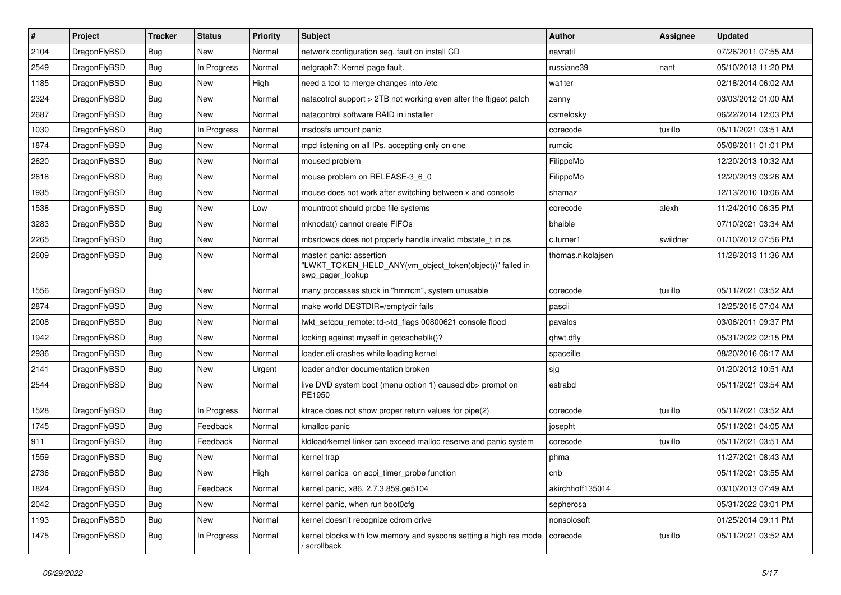| $\sharp$ | Project      | <b>Tracker</b> | <b>Status</b> | <b>Priority</b> | Subject                                                                                                  | <b>Author</b>     | Assignee | <b>Updated</b>      |
|----------|--------------|----------------|---------------|-----------------|----------------------------------------------------------------------------------------------------------|-------------------|----------|---------------------|
| 2104     | DragonFlyBSD | Bug            | New           | Normal          | network configuration seg. fault on install CD                                                           | navratil          |          | 07/26/2011 07:55 AM |
| 2549     | DragonFlyBSD | Bug            | In Progress   | Normal          | netgraph7: Kernel page fault.                                                                            | russiane39        | nant     | 05/10/2013 11:20 PM |
| 1185     | DragonFlyBSD | <b>Bug</b>     | New           | High            | need a tool to merge changes into /etc                                                                   | wa1ter            |          | 02/18/2014 06:02 AM |
| 2324     | DragonFlyBSD | Bug            | New           | Normal          | natacotrol support > 2TB not working even after the ftigeot patch                                        | zenny             |          | 03/03/2012 01:00 AM |
| 2687     | DragonFlyBSD | Bug            | New           | Normal          | natacontrol software RAID in installer                                                                   | csmelosky         |          | 06/22/2014 12:03 PM |
| 1030     | DragonFlyBSD | Bug            | In Progress   | Normal          | msdosfs umount panic                                                                                     | corecode          | tuxillo  | 05/11/2021 03:51 AM |
| 1874     | DragonFlyBSD | Bug            | <b>New</b>    | Normal          | mpd listening on all IPs, accepting only on one                                                          | rumcic            |          | 05/08/2011 01:01 PM |
| 2620     | DragonFlyBSD | Bug            | <b>New</b>    | Normal          | moused problem                                                                                           | FilippoMo         |          | 12/20/2013 10:32 AM |
| 2618     | DragonFlyBSD | <b>Bug</b>     | <b>New</b>    | Normal          | mouse problem on RELEASE-3_6_0                                                                           | FilippoMo         |          | 12/20/2013 03:26 AM |
| 1935     | DragonFlyBSD | Bug            | <b>New</b>    | Normal          | mouse does not work after switching between x and console                                                | shamaz            |          | 12/13/2010 10:06 AM |
| 1538     | DragonFlyBSD | <b>Bug</b>     | <b>New</b>    | Low             | mountroot should probe file systems                                                                      | corecode          | alexh    | 11/24/2010 06:35 PM |
| 3283     | DragonFlyBSD | Bug            | <b>New</b>    | Normal          | mknodat() cannot create FIFOs                                                                            | bhaible           |          | 07/10/2021 03:34 AM |
| 2265     | DragonFlyBSD | Bug            | New           | Normal          | mbsrtowcs does not properly handle invalid mbstate_t in ps                                               | c.turner1         | swildner | 01/10/2012 07:56 PM |
| 2609     | DragonFlyBSD | Bug            | New           | Normal          | master: panic: assertion<br>"LWKT_TOKEN_HELD_ANY(vm_object_token(object))" failed in<br>swp_pager_lookup | thomas.nikolajsen |          | 11/28/2013 11:36 AM |
| 1556     | DragonFlyBSD | Bug            | <b>New</b>    | Normal          | many processes stuck in "hmrrcm", system unusable                                                        | corecode          | tuxillo  | 05/11/2021 03:52 AM |
| 2874     | DragonFlyBSD | Bug            | <b>New</b>    | Normal          | make world DESTDIR=/emptydir fails                                                                       | pascii            |          | 12/25/2015 07:04 AM |
| 2008     | DragonFlyBSD | Bug            | New           | Normal          | lwkt_setcpu_remote: td->td_flags 00800621 console flood                                                  | pavalos           |          | 03/06/2011 09:37 PM |
| 1942     | DragonFlyBSD | Bug            | New           | Normal          | locking against myself in getcacheblk()?                                                                 | qhwt.dfly         |          | 05/31/2022 02:15 PM |
| 2936     | DragonFlyBSD | Bug            | New           | Normal          | loader.efi crashes while loading kernel                                                                  | spaceille         |          | 08/20/2016 06:17 AM |
| 2141     | DragonFlyBSD | Bug            | <b>New</b>    | Urgent          | loader and/or documentation broken                                                                       | sjg               |          | 01/20/2012 10:51 AM |
| 2544     | DragonFlyBSD | Bug            | New           | Normal          | live DVD system boot (menu option 1) caused db> prompt on<br>PE1950                                      | estrabd           |          | 05/11/2021 03:54 AM |
| 1528     | DragonFlyBSD | Bug            | In Progress   | Normal          | ktrace does not show proper return values for pipe(2)                                                    | corecode          | tuxillo  | 05/11/2021 03:52 AM |
| 1745     | DragonFlyBSD | Bug            | Feedback      | Normal          | kmalloc panic                                                                                            | josepht           |          | 05/11/2021 04:05 AM |
| 911      | DragonFlyBSD | Bug            | Feedback      | Normal          | kldload/kernel linker can exceed malloc reserve and panic system                                         | corecode          | tuxillo  | 05/11/2021 03:51 AM |
| 1559     | DragonFlyBSD | Bug            | New           | Normal          | kernel trap                                                                                              | phma              |          | 11/27/2021 08:43 AM |
| 2736     | DragonFlyBSD | Bug            | New           | High            | kernel panics on acpi_timer_probe function                                                               | cnb               |          | 05/11/2021 03:55 AM |
| 1824     | DragonFlyBSD | <b>Bug</b>     | Feedback      | Normal          | kernel panic, x86, 2.7.3.859.ge5104                                                                      | akirchhoff135014  |          | 03/10/2013 07:49 AM |
| 2042     | DragonFlyBSD | <b>Bug</b>     | New           | Normal          | kernel panic, when run boot0cfg                                                                          | sepherosa         |          | 05/31/2022 03:01 PM |
| 1193     | DragonFlyBSD | <b>Bug</b>     | New           | Normal          | kernel doesn't recognize cdrom drive                                                                     | nonsolosoft       |          | 01/25/2014 09:11 PM |
| 1475     | DragonFlyBSD | <b>Bug</b>     | In Progress   | Normal          | kernel blocks with low memory and syscons setting a high res mode<br>/ scrollback                        | corecode          | tuxillo  | 05/11/2021 03:52 AM |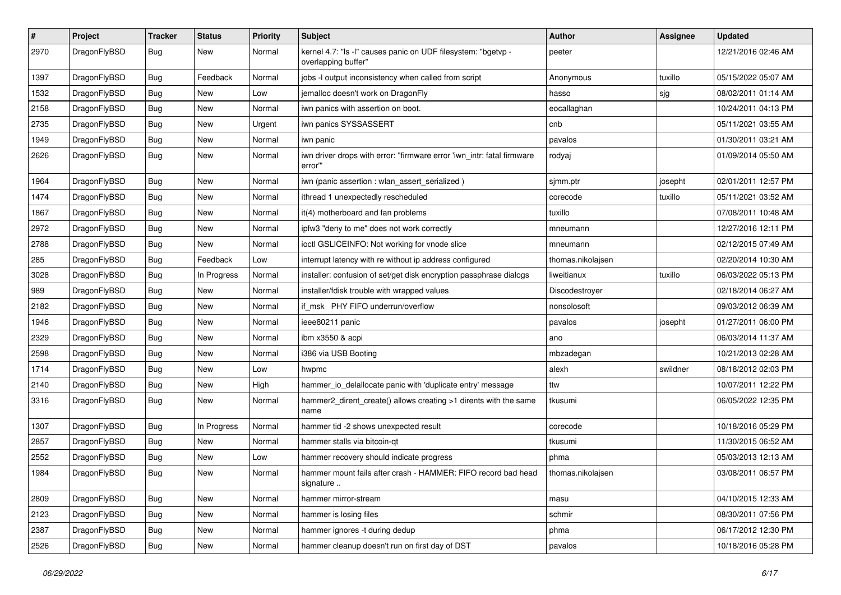| #    | Project      | <b>Tracker</b> | <b>Status</b> | <b>Priority</b> | Subject                                                                              | <b>Author</b>     | <b>Assignee</b> | <b>Updated</b>      |
|------|--------------|----------------|---------------|-----------------|--------------------------------------------------------------------------------------|-------------------|-----------------|---------------------|
| 2970 | DragonFlyBSD | <b>Bug</b>     | New           | Normal          | kernel 4.7: "Is -I" causes panic on UDF filesystem: "bgetvp -<br>overlapping buffer" | peeter            |                 | 12/21/2016 02:46 AM |
| 1397 | DragonFlyBSD | <b>Bug</b>     | Feedback      | Normal          | jobs -I output inconsistency when called from script                                 | Anonymous         | tuxillo         | 05/15/2022 05:07 AM |
| 1532 | DragonFlyBSD | <b>Bug</b>     | <b>New</b>    | Low             | jemalloc doesn't work on DragonFly                                                   | hasso             | sjg             | 08/02/2011 01:14 AM |
| 2158 | DragonFlyBSD | <b>Bug</b>     | New           | Normal          | iwn panics with assertion on boot.                                                   | eocallaghan       |                 | 10/24/2011 04:13 PM |
| 2735 | DragonFlyBSD | <b>Bug</b>     | New           | Urgent          | iwn panics SYSSASSERT                                                                | cnb               |                 | 05/11/2021 03:55 AM |
| 1949 | DragonFlyBSD | <b>Bug</b>     | <b>New</b>    | Normal          | iwn panic                                                                            | pavalos           |                 | 01/30/2011 03:21 AM |
| 2626 | DragonFlyBSD | <b>Bug</b>     | <b>New</b>    | Normal          | iwn driver drops with error: "firmware error 'iwn_intr: fatal firmware<br>error"     | rodyaj            |                 | 01/09/2014 05:50 AM |
| 1964 | DragonFlyBSD | <b>Bug</b>     | <b>New</b>    | Normal          | iwn (panic assertion : wlan_assert_serialized)                                       | sjmm.ptr          | josepht         | 02/01/2011 12:57 PM |
| 1474 | DragonFlyBSD | <b>Bug</b>     | New           | Normal          | ithread 1 unexpectedly rescheduled                                                   | corecode          | tuxillo         | 05/11/2021 03:52 AM |
| 1867 | DragonFlyBSD | <b>Bug</b>     | <b>New</b>    | Normal          | it(4) motherboard and fan problems                                                   | tuxillo           |                 | 07/08/2011 10:48 AM |
| 2972 | DragonFlyBSD | <b>Bug</b>     | New           | Normal          | ipfw3 "deny to me" does not work correctly                                           | mneumann          |                 | 12/27/2016 12:11 PM |
| 2788 | DragonFlyBSD | <b>Bug</b>     | New           | Normal          | ioctl GSLICEINFO: Not working for vnode slice                                        | mneumann          |                 | 02/12/2015 07:49 AM |
| 285  | DragonFlyBSD | <b>Bug</b>     | Feedback      | Low             | interrupt latency with re without ip address configured                              | thomas.nikolajsen |                 | 02/20/2014 10:30 AM |
| 3028 | DragonFlyBSD | <b>Bug</b>     | In Progress   | Normal          | installer: confusion of set/get disk encryption passphrase dialogs                   | liweitianux       | tuxillo         | 06/03/2022 05:13 PM |
| 989  | DragonFlyBSD | <b>Bug</b>     | <b>New</b>    | Normal          | installer/fdisk trouble with wrapped values                                          | Discodestrover    |                 | 02/18/2014 06:27 AM |
| 2182 | DragonFlyBSD | <b>Bug</b>     | <b>New</b>    | Normal          | if msk PHY FIFO underrun/overflow                                                    | nonsolosoft       |                 | 09/03/2012 06:39 AM |
| 1946 | DragonFlyBSD | <b>Bug</b>     | <b>New</b>    | Normal          | ieee80211 panic                                                                      | pavalos           | josepht         | 01/27/2011 06:00 PM |
| 2329 | DragonFlyBSD | <b>Bug</b>     | New           | Normal          | ibm x3550 & acpi                                                                     | ano               |                 | 06/03/2014 11:37 AM |
| 2598 | DragonFlyBSD | Bug            | <b>New</b>    | Normal          | i386 via USB Booting                                                                 | mbzadegan         |                 | 10/21/2013 02:28 AM |
| 1714 | DragonFlyBSD | <b>Bug</b>     | New           | Low             | hwpmc                                                                                | alexh             | swildner        | 08/18/2012 02:03 PM |
| 2140 | DragonFlyBSD | Bug            | New           | High            | hammer_io_delallocate panic with 'duplicate entry' message                           | ttw               |                 | 10/07/2011 12:22 PM |
| 3316 | DragonFlyBSD | Bug            | New           | Normal          | hammer2_dirent_create() allows creating >1 dirents with the same<br>name             | tkusumi           |                 | 06/05/2022 12:35 PM |
| 1307 | DragonFlyBSD | Bug            | In Progress   | Normal          | hammer tid -2 shows unexpected result                                                | corecode          |                 | 10/18/2016 05:29 PM |
| 2857 | DragonFlyBSD | Bug            | <b>New</b>    | Normal          | hammer stalls via bitcoin-qt                                                         | tkusumi           |                 | 11/30/2015 06:52 AM |
| 2552 | DragonFlyBSD | Bug            | New           | Low             | hammer recovery should indicate progress                                             | phma              |                 | 05/03/2013 12:13 AM |
| 1984 | DragonFlyBSD | i Bug          | <b>New</b>    | Normal          | hammer mount fails after crash - HAMMER: FIFO record bad head<br>signature           | thomas.nikolajsen |                 | 03/08/2011 06:57 PM |
| 2809 | DragonFlyBSD | <b>Bug</b>     | <b>New</b>    | Normal          | hammer mirror-stream                                                                 | masu              |                 | 04/10/2015 12:33 AM |
| 2123 | DragonFlyBSD | <b>Bug</b>     | New           | Normal          | hammer is losing files                                                               | schmir            |                 | 08/30/2011 07:56 PM |
| 2387 | DragonFlyBSD | <b>Bug</b>     | <b>New</b>    | Normal          | hammer ignores -t during dedup                                                       | phma              |                 | 06/17/2012 12:30 PM |
| 2526 | DragonFlyBSD | <b>Bug</b>     | New           | Normal          | hammer cleanup doesn't run on first day of DST                                       | pavalos           |                 | 10/18/2016 05:28 PM |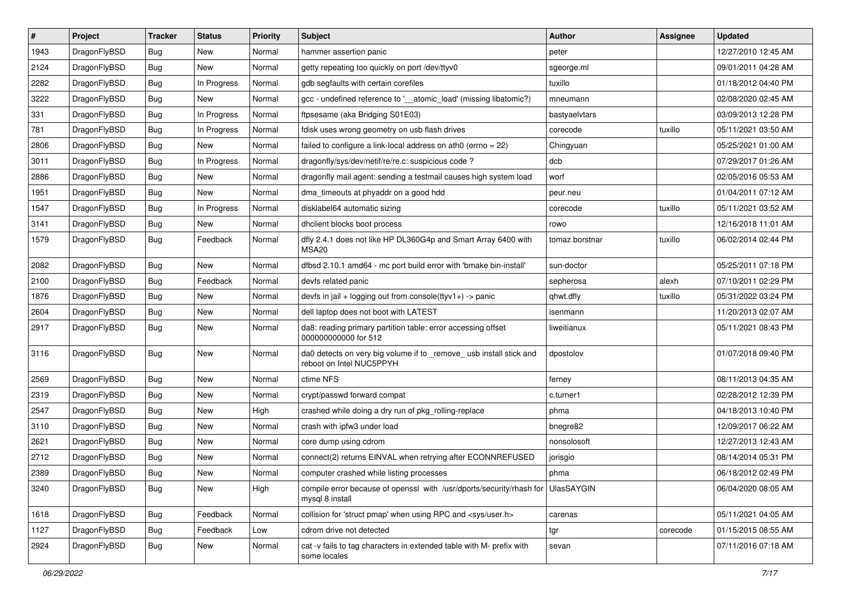| $\pmb{\#}$ | Project      | <b>Tracker</b> | <b>Status</b> | <b>Priority</b> | Subject                                                                                            | <b>Author</b>  | <b>Assignee</b> | <b>Updated</b>      |
|------------|--------------|----------------|---------------|-----------------|----------------------------------------------------------------------------------------------------|----------------|-----------------|---------------------|
| 1943       | DragonFlyBSD | Bug            | <b>New</b>    | Normal          | hammer assertion panic                                                                             | peter          |                 | 12/27/2010 12:45 AM |
| 2124       | DragonFlyBSD | Bug            | <b>New</b>    | Normal          | getty repeating too quickly on port /dev/ttyv0                                                     | sgeorge.ml     |                 | 09/01/2011 04:28 AM |
| 2282       | DragonFlyBSD | Bug            | In Progress   | Normal          | gdb segfaults with certain corefiles                                                               | tuxillo        |                 | 01/18/2012 04:40 PM |
| 3222       | DragonFlyBSD | Bug            | New           | Normal          | gcc - undefined reference to '__atomic_load' (missing libatomic?)                                  | mneumann       |                 | 02/08/2020 02:45 AM |
| 331        | DragonFlyBSD | Bug            | In Progress   | Normal          | ftpsesame (aka Bridging S01E03)                                                                    | bastyaelvtars  |                 | 03/09/2013 12:28 PM |
| 781        | DragonFlyBSD | Bug            | In Progress   | Normal          | fdisk uses wrong geometry on usb flash drives                                                      | corecode       | tuxillo         | 05/11/2021 03:50 AM |
| 2806       | DragonFlyBSD | Bug            | <b>New</b>    | Normal          | failed to configure a link-local address on ath0 (errno = 22)                                      | Chingyuan      |                 | 05/25/2021 01:00 AM |
| 3011       | DragonFlyBSD | Bug            | In Progress   | Normal          | dragonfly/sys/dev/netif/re/re.c: suspicious code ?                                                 | dcb            |                 | 07/29/2017 01:26 AM |
| 2886       | DragonFlyBSD | Bug            | <b>New</b>    | Normal          | dragonfly mail agent: sending a testmail causes high system load                                   | worf           |                 | 02/05/2016 05:53 AM |
| 1951       | DragonFlyBSD | Bug            | <b>New</b>    | Normal          | dma_timeouts at phyaddr on a good hdd                                                              | peur.neu       |                 | 01/04/2011 07:12 AM |
| 1547       | DragonFlyBSD | Bug            | In Progress   | Normal          | disklabel64 automatic sizing                                                                       | corecode       | tuxillo         | 05/11/2021 03:52 AM |
| 3141       | DragonFlyBSD | Bug            | New           | Normal          | dhclient blocks boot process                                                                       | rowo           |                 | 12/16/2018 11:01 AM |
| 1579       | DragonFlyBSD | Bug            | Feedback      | Normal          | dfly 2.4.1 does not like HP DL360G4p and Smart Array 6400 with<br>MSA <sub>20</sub>                | tomaz.borstnar | tuxillo         | 06/02/2014 02:44 PM |
| 2082       | DragonFlyBSD | Bug            | <b>New</b>    | Normal          | dfbsd 2.10.1 amd64 - mc port build error with 'bmake bin-install'                                  | sun-doctor     |                 | 05/25/2011 07:18 PM |
| 2100       | DragonFlyBSD | Bug            | Feedback      | Normal          | devfs related panic                                                                                | sepherosa      | alexh           | 07/10/2011 02:29 PM |
| 1876       | DragonFlyBSD | Bug            | New           | Normal          | devfs in jail + logging out from console(ttyv1+) -> panic                                          | qhwt.dfly      | tuxillo         | 05/31/2022 03:24 PM |
| 2604       | DragonFlyBSD | Bug            | <b>New</b>    | Normal          | dell laptop does not boot with LATEST                                                              | isenmann       |                 | 11/20/2013 02:07 AM |
| 2917       | DragonFlyBSD | Bug            | New           | Normal          | da8: reading primary partition table: error accessing offset<br>000000000000 for 512               | liweitianux    |                 | 05/11/2021 08:43 PM |
| 3116       | DragonFlyBSD | Bug            | <b>New</b>    | Normal          | da0 detects on very big volume if to _remove_ usb install stick and<br>reboot on Intel NUC5PPYH    | dpostolov      |                 | 01/07/2018 09:40 PM |
| 2569       | DragonFlyBSD | Bug            | <b>New</b>    | Normal          | ctime NFS                                                                                          | ferney         |                 | 08/11/2013 04:35 AM |
| 2319       | DragonFlyBSD | Bug            | New           | Normal          | crypt/passwd forward compat                                                                        | c.turner1      |                 | 02/28/2012 12:39 PM |
| 2547       | DragonFlyBSD | Bug            | <b>New</b>    | High            | crashed while doing a dry run of pkg_rolling-replace                                               | phma           |                 | 04/18/2013 10:40 PM |
| 3110       | DragonFlyBSD | Bug            | <b>New</b>    | Normal          | crash with ipfw3 under load                                                                        | bnegre82       |                 | 12/09/2017 06:22 AM |
| 2621       | DragonFlyBSD | Bug            | New           | Normal          | core dump using cdrom                                                                              | nonsolosoft    |                 | 12/27/2013 12:43 AM |
| 2712       | DragonFlyBSD | Bug            | <b>New</b>    | Normal          | connect(2) returns EINVAL when retrying after ECONNREFUSED                                         | jorisgio       |                 | 08/14/2014 05:31 PM |
| 2389       | DragonFlyBSD | Bug            | New           | Normal          | computer crashed while listing processes                                                           | phma           |                 | 06/18/2012 02:49 PM |
| 3240       | DragonFlyBSD | Bug            | New           | High            | compile error because of openssl with /usr/dports/security/rhash for UlasSAYGIN<br>mysql 8 install |                |                 | 06/04/2020 08:05 AM |
| 1618       | DragonFlyBSD | Bug            | Feedback      | Normal          | collision for 'struct pmap' when using RPC and <sys user.h=""></sys>                               | carenas        |                 | 05/11/2021 04:05 AM |
| 1127       | DragonFlyBSD | Bug            | Feedback      | Low             | cdrom drive not detected                                                                           | tgr            | corecode        | 01/15/2015 08:55 AM |
| 2924       | DragonFlyBSD | <b>Bug</b>     | New           | Normal          | cat -v fails to tag characters in extended table with M- prefix with<br>some locales               | sevan          |                 | 07/11/2016 07:18 AM |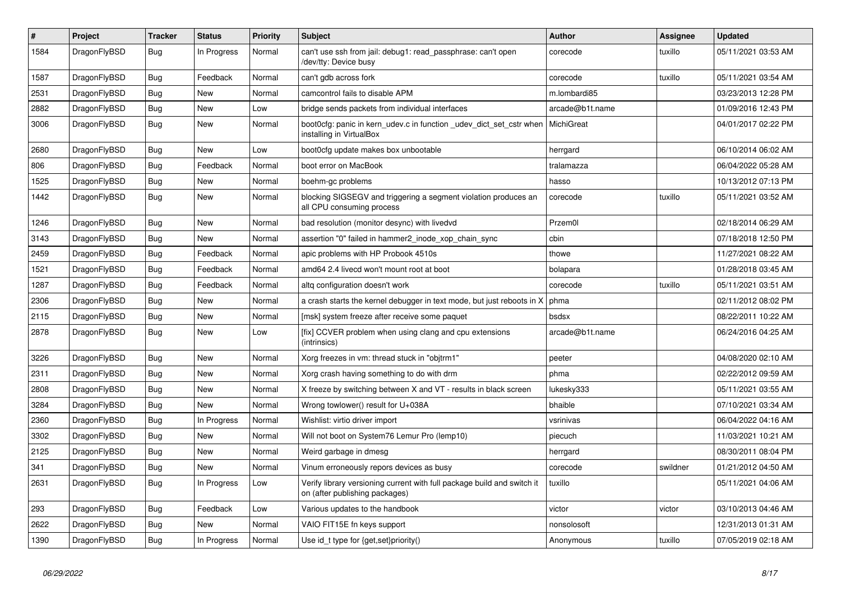| $\sharp$ | Project      | <b>Tracker</b> | <b>Status</b> | <b>Priority</b> | <b>Subject</b>                                                                                            | <b>Author</b>   | Assignee | Updated             |
|----------|--------------|----------------|---------------|-----------------|-----------------------------------------------------------------------------------------------------------|-----------------|----------|---------------------|
| 1584     | DragonFlyBSD | Bug            | In Progress   | Normal          | can't use ssh from jail: debug1: read passphrase: can't open<br>/dev/tty: Device busy                     | corecode        | tuxillo  | 05/11/2021 03:53 AM |
| 1587     | DragonFlyBSD | Bug            | Feedback      | Normal          | can't gdb across fork                                                                                     | corecode        | tuxillo  | 05/11/2021 03:54 AM |
| 2531     | DragonFlyBSD | Bug            | <b>New</b>    | Normal          | camcontrol fails to disable APM                                                                           | m.lombardi85    |          | 03/23/2013 12:28 PM |
| 2882     | DragonFlyBSD | <b>Bug</b>     | <b>New</b>    | Low             | bridge sends packets from individual interfaces                                                           | arcade@b1t.name |          | 01/09/2016 12:43 PM |
| 3006     | DragonFlyBSD | <b>Bug</b>     | New           | Normal          | boot0cfg: panic in kern_udev.c in function _udev_dict_set_cstr when<br>installing in VirtualBox           | MichiGreat      |          | 04/01/2017 02:22 PM |
| 2680     | DragonFlyBSD | Bug            | <b>New</b>    | Low             | boot0cfg update makes box unbootable                                                                      | herrgard        |          | 06/10/2014 06:02 AM |
| 806      | DragonFlyBSD | <b>Bug</b>     | Feedback      | Normal          | boot error on MacBook                                                                                     | tralamazza      |          | 06/04/2022 05:28 AM |
| 1525     | DragonFlyBSD | Bug            | <b>New</b>    | Normal          | boehm-gc problems                                                                                         | hasso           |          | 10/13/2012 07:13 PM |
| 1442     | DragonFlyBSD | <b>Bug</b>     | <b>New</b>    | Normal          | blocking SIGSEGV and triggering a segment violation produces an<br>all CPU consuming process              | corecode        | tuxillo  | 05/11/2021 03:52 AM |
| 1246     | DragonFlyBSD | <b>Bug</b>     | <b>New</b>    | Normal          | bad resolution (monitor desync) with livedvd                                                              | Przem0l         |          | 02/18/2014 06:29 AM |
| 3143     | DragonFlyBSD | Bug            | <b>New</b>    | Normal          | assertion "0" failed in hammer2 inode xop chain sync                                                      | cbin            |          | 07/18/2018 12:50 PM |
| 2459     | DragonFlyBSD | Bug            | Feedback      | Normal          | apic problems with HP Probook 4510s                                                                       | thowe           |          | 11/27/2021 08:22 AM |
| 1521     | DragonFlyBSD | Bug            | Feedback      | Normal          | amd64 2.4 livecd won't mount root at boot                                                                 | bolapara        |          | 01/28/2018 03:45 AM |
| 1287     | DragonFlyBSD | Bug            | Feedback      | Normal          | altg configuration doesn't work                                                                           | corecode        | tuxillo  | 05/11/2021 03:51 AM |
| 2306     | DragonFlyBSD | Bug            | <b>New</b>    | Normal          | a crash starts the kernel debugger in text mode, but just reboots in X                                    | phma            |          | 02/11/2012 08:02 PM |
| 2115     | DragonFlyBSD | Bug            | <b>New</b>    | Normal          | [msk] system freeze after receive some paquet                                                             | bsdsx           |          | 08/22/2011 10:22 AM |
| 2878     | DragonFlyBSD | Bug            | <b>New</b>    | Low             | [fix] CCVER problem when using clang and cpu extensions<br>(intrinsics)                                   | arcade@b1t.name |          | 06/24/2016 04:25 AM |
| 3226     | DragonFlyBSD | <b>Bug</b>     | New           | Normal          | Xorg freezes in vm: thread stuck in "objtrm1"                                                             | peeter          |          | 04/08/2020 02:10 AM |
| 2311     | DragonFlyBSD | Bug            | <b>New</b>    | Normal          | Xorg crash having something to do with drm                                                                | phma            |          | 02/22/2012 09:59 AM |
| 2808     | DragonFlyBSD | Bug            | New           | Normal          | X freeze by switching between X and VT - results in black screen                                          | lukesky333      |          | 05/11/2021 03:55 AM |
| 3284     | DragonFlyBSD | <b>Bug</b>     | New           | Normal          | Wrong towlower() result for U+038A                                                                        | bhaible         |          | 07/10/2021 03:34 AM |
| 2360     | DragonFlyBSD | <b>Bug</b>     | In Progress   | Normal          | Wishlist: virtio driver import                                                                            | vsrinivas       |          | 06/04/2022 04:16 AM |
| 3302     | DragonFlyBSD | Bug            | New           | Normal          | Will not boot on System76 Lemur Pro (lemp10)                                                              | piecuch         |          | 11/03/2021 10:21 AM |
| 2125     | DragonFlyBSD | Bug            | New           | Normal          | Weird garbage in dmesg                                                                                    | herrgard        |          | 08/30/2011 08:04 PM |
| 341      | DragonFlyBSD | <b>Bug</b>     | New           | Normal          | Vinum erroneously repors devices as busy                                                                  | corecode        | swildner | 01/21/2012 04:50 AM |
| 2631     | DragonFlyBSD | <b>Bug</b>     | In Progress   | Low             | Verify library versioning current with full package build and switch it<br>on (after publishing packages) | tuxillo         |          | 05/11/2021 04:06 AM |
| 293      | DragonFlyBSD | Bug            | Feedback      | Low             | Various updates to the handbook                                                                           | victor          | victor   | 03/10/2013 04:46 AM |
| 2622     | DragonFlyBSD | Bug            | New           | Normal          | VAIO FIT15E fn keys support                                                                               | nonsolosoft     |          | 12/31/2013 01:31 AM |
| 1390     | DragonFlyBSD | Bug            | In Progress   | Normal          | Use id t type for $\{get, set\}$ priority()                                                               | Anonymous       | tuxillo  | 07/05/2019 02:18 AM |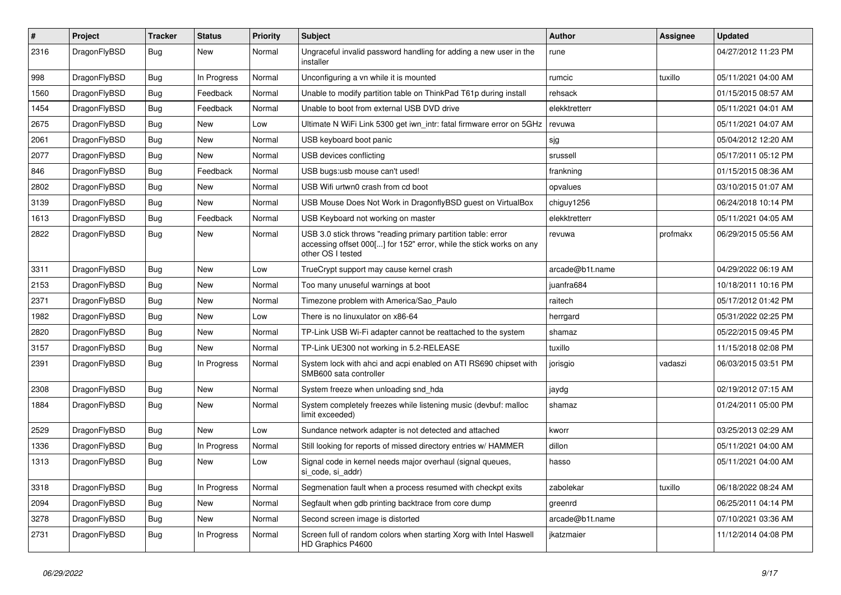| #    | Project      | <b>Tracker</b> | <b>Status</b> | <b>Priority</b> | Subject                                                                                                                                                  | Author          | <b>Assignee</b> | <b>Updated</b>      |
|------|--------------|----------------|---------------|-----------------|----------------------------------------------------------------------------------------------------------------------------------------------------------|-----------------|-----------------|---------------------|
| 2316 | DragonFlyBSD | Bug            | New           | Normal          | Ungraceful invalid password handling for adding a new user in the<br>installer                                                                           | rune            |                 | 04/27/2012 11:23 PM |
| 998  | DragonFlyBSD | Bug            | In Progress   | Normal          | Unconfiguring a vn while it is mounted                                                                                                                   | rumcic          | tuxillo         | 05/11/2021 04:00 AM |
| 1560 | DragonFlyBSD | Bug            | Feedback      | Normal          | Unable to modify partition table on ThinkPad T61p during install                                                                                         | rehsack         |                 | 01/15/2015 08:57 AM |
| 1454 | DragonFlyBSD | <b>Bug</b>     | Feedback      | Normal          | Unable to boot from external USB DVD drive                                                                                                               | elekktretterr   |                 | 05/11/2021 04:01 AM |
| 2675 | DragonFlyBSD | <b>Bug</b>     | New           | Low             | Ultimate N WiFi Link 5300 get iwn_intr: fatal firmware error on 5GHz                                                                                     | revuwa          |                 | 05/11/2021 04:07 AM |
| 2061 | DragonFlyBSD | Bug            | <b>New</b>    | Normal          | USB keyboard boot panic                                                                                                                                  | sjg             |                 | 05/04/2012 12:20 AM |
| 2077 | DragonFlyBSD | <b>Bug</b>     | New           | Normal          | USB devices conflicting                                                                                                                                  | srussell        |                 | 05/17/2011 05:12 PM |
| 846  | DragonFlyBSD | Bug            | Feedback      | Normal          | USB bugs:usb mouse can't used!                                                                                                                           | frankning       |                 | 01/15/2015 08:36 AM |
| 2802 | DragonFlyBSD | <b>Bug</b>     | New           | Normal          | USB Wifi urtwn0 crash from cd boot                                                                                                                       | opvalues        |                 | 03/10/2015 01:07 AM |
| 3139 | DragonFlyBSD | Bug            | New           | Normal          | USB Mouse Does Not Work in DragonflyBSD guest on VirtualBox                                                                                              | chiguy1256      |                 | 06/24/2018 10:14 PM |
| 1613 | DragonFlyBSD | Bug            | Feedback      | Normal          | USB Keyboard not working on master                                                                                                                       | elekktretterr   |                 | 05/11/2021 04:05 AM |
| 2822 | DragonFlyBSD | Bug            | New           | Normal          | USB 3.0 stick throws "reading primary partition table: error<br>accessing offset 000[] for 152" error, while the stick works on any<br>other OS I tested | revuwa          | profmakx        | 06/29/2015 05:56 AM |
| 3311 | DragonFlyBSD | Bug            | New           | Low             | TrueCrypt support may cause kernel crash                                                                                                                 | arcade@b1t.name |                 | 04/29/2022 06:19 AM |
| 2153 | DragonFlyBSD | Bug            | New           | Normal          | Too many unuseful warnings at boot                                                                                                                       | juanfra684      |                 | 10/18/2011 10:16 PM |
| 2371 | DragonFlyBSD | <b>Bug</b>     | <b>New</b>    | Normal          | Timezone problem with America/Sao Paulo                                                                                                                  | raitech         |                 | 05/17/2012 01:42 PM |
| 1982 | DragonFlyBSD | Bug            | <b>New</b>    | Low             | There is no linuxulator on x86-64                                                                                                                        | herrgard        |                 | 05/31/2022 02:25 PM |
| 2820 | DragonFlyBSD | Bug            | New           | Normal          | TP-Link USB Wi-Fi adapter cannot be reattached to the system                                                                                             | shamaz          |                 | 05/22/2015 09:45 PM |
| 3157 | DragonFlyBSD | <b>Bug</b>     | New           | Normal          | TP-Link UE300 not working in 5.2-RELEASE                                                                                                                 | tuxillo         |                 | 11/15/2018 02:08 PM |
| 2391 | DragonFlyBSD | Bug            | In Progress   | Normal          | System lock with ahci and acpi enabled on ATI RS690 chipset with<br>SMB600 sata controller                                                               | jorisgio        | vadaszi         | 06/03/2015 03:51 PM |
| 2308 | DragonFlyBSD | Bug            | New           | Normal          | System freeze when unloading snd_hda                                                                                                                     | jaydg           |                 | 02/19/2012 07:15 AM |
| 1884 | DragonFlyBSD | Bug            | New           | Normal          | System completely freezes while listening music (devbuf: malloc<br>limit exceeded)                                                                       | shamaz          |                 | 01/24/2011 05:00 PM |
| 2529 | DragonFlyBSD | <b>Bug</b>     | New           | Low             | Sundance network adapter is not detected and attached                                                                                                    | kworr           |                 | 03/25/2013 02:29 AM |
| 1336 | DragonFlyBSD | Bug            | In Progress   | Normal          | Still looking for reports of missed directory entries w/ HAMMER                                                                                          | dillon          |                 | 05/11/2021 04:00 AM |
| 1313 | DragonFlyBSD | Bug            | New           | Low             | Signal code in kernel needs major overhaul (signal queues,<br>si_code, si_addr)                                                                          | hasso           |                 | 05/11/2021 04:00 AM |
| 3318 | DragonFlyBSD | Bug            | In Progress   | Normal          | Segmenation fault when a process resumed with checkpt exits                                                                                              | zabolekar       | tuxillo         | 06/18/2022 08:24 AM |
| 2094 | DragonFlyBSD | <b>Bug</b>     | New           | Normal          | Segfault when gdb printing backtrace from core dump                                                                                                      | greenrd         |                 | 06/25/2011 04:14 PM |
| 3278 | DragonFlyBSD | <b>Bug</b>     | New           | Normal          | Second screen image is distorted                                                                                                                         | arcade@b1t.name |                 | 07/10/2021 03:36 AM |
| 2731 | DragonFlyBSD | <b>Bug</b>     | In Progress   | Normal          | Screen full of random colors when starting Xorg with Intel Haswell<br>HD Graphics P4600                                                                  | jkatzmaier      |                 | 11/12/2014 04:08 PM |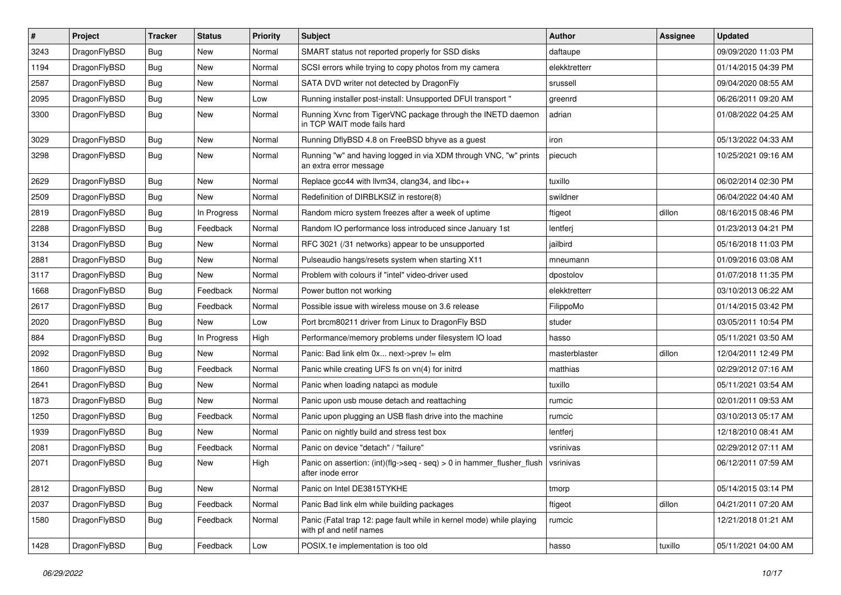| $\vert$ # | Project      | <b>Tracker</b> | <b>Status</b> | <b>Priority</b> | Subject                                                                                         | Author        | Assignee | <b>Updated</b>      |
|-----------|--------------|----------------|---------------|-----------------|-------------------------------------------------------------------------------------------------|---------------|----------|---------------------|
| 3243      | DragonFlyBSD | Bug            | <b>New</b>    | Normal          | SMART status not reported properly for SSD disks                                                | daftaupe      |          | 09/09/2020 11:03 PM |
| 1194      | DragonFlyBSD | Bug            | <b>New</b>    | Normal          | SCSI errors while trying to copy photos from my camera                                          | elekktretterr |          | 01/14/2015 04:39 PM |
| 2587      | DragonFlyBSD | <b>Bug</b>     | <b>New</b>    | Normal          | SATA DVD writer not detected by DragonFly                                                       | srussell      |          | 09/04/2020 08:55 AM |
| 2095      | DragonFlyBSD | Bug            | <b>New</b>    | Low             | Running installer post-install: Unsupported DFUI transport "                                    | greenrd       |          | 06/26/2011 09:20 AM |
| 3300      | DragonFlyBSD | Bug            | <b>New</b>    | Normal          | Running Xvnc from TigerVNC package through the INETD daemon<br>in TCP WAIT mode fails hard      | adrian        |          | 01/08/2022 04:25 AM |
| 3029      | DragonFlyBSD | Bug            | New           | Normal          | Running DflyBSD 4.8 on FreeBSD bhyve as a guest                                                 | iron          |          | 05/13/2022 04:33 AM |
| 3298      | DragonFlyBSD | Bug            | New           | Normal          | Running "w" and having logged in via XDM through VNC, "w" prints<br>an extra error message      | piecuch       |          | 10/25/2021 09:16 AM |
| 2629      | DragonFlyBSD | Bug            | <b>New</b>    | Normal          | Replace gcc44 with llvm34, clang34, and libc++                                                  | tuxillo       |          | 06/02/2014 02:30 PM |
| 2509      | DragonFlyBSD | <b>Bug</b>     | <b>New</b>    | Normal          | Redefinition of DIRBLKSIZ in restore(8)                                                         | swildner      |          | 06/04/2022 04:40 AM |
| 2819      | DragonFlyBSD | Bug            | In Progress   | Normal          | Random micro system freezes after a week of uptime                                              | ftigeot       | dillon   | 08/16/2015 08:46 PM |
| 2288      | DragonFlyBSD | Bug            | Feedback      | Normal          | Random IO performance loss introduced since January 1st                                         | lentferj      |          | 01/23/2013 04:21 PM |
| 3134      | DragonFlyBSD | <b>Bug</b>     | New           | Normal          | RFC 3021 (/31 networks) appear to be unsupported                                                | jailbird      |          | 05/16/2018 11:03 PM |
| 2881      | DragonFlyBSD | Bug            | <b>New</b>    | Normal          | Pulseaudio hangs/resets system when starting X11                                                | mneumann      |          | 01/09/2016 03:08 AM |
| 3117      | DragonFlyBSD | <b>Bug</b>     | New           | Normal          | Problem with colours if "intel" video-driver used                                               | dpostolov     |          | 01/07/2018 11:35 PM |
| 1668      | DragonFlyBSD | Bug            | Feedback      | Normal          | Power button not working                                                                        | elekktretterr |          | 03/10/2013 06:22 AM |
| 2617      | DragonFlyBSD | Bug            | Feedback      | Normal          | Possible issue with wireless mouse on 3.6 release                                               | FilippoMo     |          | 01/14/2015 03:42 PM |
| 2020      | DragonFlyBSD | <b>Bug</b>     | New           | Low             | Port brcm80211 driver from Linux to DragonFly BSD                                               | studer        |          | 03/05/2011 10:54 PM |
| 884       | DragonFlyBSD | Bug            | In Progress   | High            | Performance/memory problems under filesystem IO load                                            | hasso         |          | 05/11/2021 03:50 AM |
| 2092      | DragonFlyBSD | <b>Bug</b>     | <b>New</b>    | Normal          | Panic: Bad link elm 0x next->prev != elm                                                        | masterblaster | dillon   | 12/04/2011 12:49 PM |
| 1860      | DragonFlyBSD | <b>Bug</b>     | Feedback      | Normal          | Panic while creating UFS fs on vn(4) for initrd                                                 | matthias      |          | 02/29/2012 07:16 AM |
| 2641      | DragonFlyBSD | Bug            | <b>New</b>    | Normal          | Panic when loading natapci as module                                                            | tuxillo       |          | 05/11/2021 03:54 AM |
| 1873      | DragonFlyBSD | Bug            | New           | Normal          | Panic upon usb mouse detach and reattaching                                                     | rumcic        |          | 02/01/2011 09:53 AM |
| 1250      | DragonFlyBSD | Bug            | Feedback      | Normal          | Panic upon plugging an USB flash drive into the machine                                         | rumcic        |          | 03/10/2013 05:17 AM |
| 1939      | DragonFlyBSD | <b>Bug</b>     | New           | Normal          | Panic on nightly build and stress test box                                                      | lentferj      |          | 12/18/2010 08:41 AM |
| 2081      | DragonFlyBSD | Bug            | Feedback      | Normal          | Panic on device "detach" / "failure"                                                            | vsrinivas     |          | 02/29/2012 07:11 AM |
| 2071      | DragonFlyBSD | Bug            | New           | High            | Panic on assertion: $(int)(flag->seq - seq) > 0$ in hammer flusher flush<br>after inode error   | vsrinivas     |          | 06/12/2011 07:59 AM |
| 2812      | DragonFlyBSD | Bug            | New           | Normal          | Panic on Intel DE3815TYKHE                                                                      | tmorp         |          | 05/14/2015 03:14 PM |
| 2037      | DragonFlyBSD | <b>Bug</b>     | Feedback      | Normal          | Panic Bad link elm while building packages                                                      | ftigeot       | dillon   | 04/21/2011 07:20 AM |
| 1580      | DragonFlyBSD | <b>Bug</b>     | Feedback      | Normal          | Panic (Fatal trap 12: page fault while in kernel mode) while playing<br>with pf and netif names | rumcic        |          | 12/21/2018 01:21 AM |
| 1428      | DragonFlyBSD | <b>Bug</b>     | Feedback      | Low             | POSIX.1e implementation is too old                                                              | hasso         | tuxillo  | 05/11/2021 04:00 AM |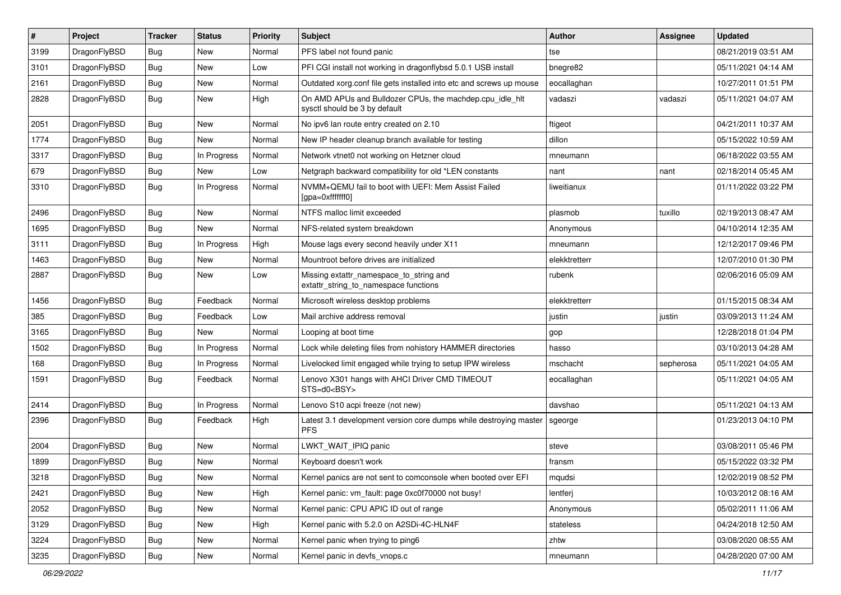| $\sharp$ | Project      | <b>Tracker</b> | <b>Status</b> | <b>Priority</b> | Subject                                                                                   | <b>Author</b> | Assignee  | <b>Updated</b>      |
|----------|--------------|----------------|---------------|-----------------|-------------------------------------------------------------------------------------------|---------------|-----------|---------------------|
| 3199     | DragonFlyBSD | Bug            | <b>New</b>    | Normal          | PFS label not found panic                                                                 | tse           |           | 08/21/2019 03:51 AM |
| 3101     | DragonFlyBSD | Bug            | New           | Low             | PFI CGI install not working in dragonflybsd 5.0.1 USB install                             | bnegre82      |           | 05/11/2021 04:14 AM |
| 2161     | DragonFlyBSD | <b>Bug</b>     | New           | Normal          | Outdated xorg.conf file gets installed into etc and screws up mouse                       | eocallaghan   |           | 10/27/2011 01:51 PM |
| 2828     | DragonFlyBSD | <b>Bug</b>     | <b>New</b>    | High            | On AMD APUs and Bulldozer CPUs, the machdep.cpu_idle_hlt<br>sysctl should be 3 by default | vadaszi       | vadaszi   | 05/11/2021 04:07 AM |
| 2051     | DragonFlyBSD | <b>Bug</b>     | New           | Normal          | No ipv6 lan route entry created on 2.10                                                   | ftigeot       |           | 04/21/2011 10:37 AM |
| 1774     | DragonFlyBSD | <b>Bug</b>     | New           | Normal          | New IP header cleanup branch available for testing                                        | dillon        |           | 05/15/2022 10:59 AM |
| 3317     | DragonFlyBSD | <b>Bug</b>     | In Progress   | Normal          | Network vtnet0 not working on Hetzner cloud                                               | mneumann      |           | 06/18/2022 03:55 AM |
| 679      | DragonFlyBSD | <b>Bug</b>     | <b>New</b>    | Low             | Netgraph backward compatibility for old *LEN constants                                    | nant          | nant      | 02/18/2014 05:45 AM |
| 3310     | DragonFlyBSD | <b>Bug</b>     | In Progress   | Normal          | NVMM+QEMU fail to boot with UEFI: Mem Assist Failed<br>[gpa=0xfffffff0]                   | liweitianux   |           | 01/11/2022 03:22 PM |
| 2496     | DragonFlyBSD | <b>Bug</b>     | <b>New</b>    | Normal          | NTFS malloc limit exceeded                                                                | plasmob       | tuxillo   | 02/19/2013 08:47 AM |
| 1695     | DragonFlyBSD | <b>Bug</b>     | New           | Normal          | NFS-related system breakdown                                                              | Anonymous     |           | 04/10/2014 12:35 AM |
| 3111     | DragonFlyBSD | <b>Bug</b>     | In Progress   | High            | Mouse lags every second heavily under X11                                                 | mneumann      |           | 12/12/2017 09:46 PM |
| 1463     | DragonFlyBSD | <b>Bug</b>     | New           | Normal          | Mountroot before drives are initialized                                                   | elekktretterr |           | 12/07/2010 01:30 PM |
| 2887     | DragonFlyBSD | <b>Bug</b>     | New           | Low             | Missing extattr_namespace_to_string and<br>extattr_string_to_namespace functions          | rubenk        |           | 02/06/2016 05:09 AM |
| 1456     | DragonFlyBSD | <b>Bug</b>     | Feedback      | Normal          | Microsoft wireless desktop problems                                                       | elekktretterr |           | 01/15/2015 08:34 AM |
| 385      | DragonFlyBSD | <b>Bug</b>     | Feedback      | Low             | Mail archive address removal                                                              | justin        | justin    | 03/09/2013 11:24 AM |
| 3165     | DragonFlyBSD | <b>Bug</b>     | <b>New</b>    | Normal          | Looping at boot time                                                                      | gop           |           | 12/28/2018 01:04 PM |
| 1502     | DragonFlyBSD | <b>Bug</b>     | In Progress   | Normal          | Lock while deleting files from nohistory HAMMER directories                               | hasso         |           | 03/10/2013 04:28 AM |
| 168      | DragonFlyBSD | <b>Bug</b>     | In Progress   | Normal          | Livelocked limit engaged while trying to setup IPW wireless                               | mschacht      | sepherosa | 05/11/2021 04:05 AM |
| 1591     | DragonFlyBSD | <b>Bug</b>     | Feedback      | Normal          | Lenovo X301 hangs with AHCI Driver CMD TIMEOUT<br>STS=d0 <bsy></bsy>                      | eocallaghan   |           | 05/11/2021 04:05 AM |
| 2414     | DragonFlyBSD | <b>Bug</b>     | In Progress   | Normal          | Lenovo S10 acpi freeze (not new)                                                          | davshao       |           | 05/11/2021 04:13 AM |
| 2396     | DragonFlyBSD | <b>Bug</b>     | Feedback      | High            | Latest 3.1 development version core dumps while destroying master<br><b>PFS</b>           | sgeorge       |           | 01/23/2013 04:10 PM |
| 2004     | DragonFlyBSD | <b>Bug</b>     | <b>New</b>    | Normal          | LWKT_WAIT_IPIQ panic                                                                      | steve         |           | 03/08/2011 05:46 PM |
| 1899     | DragonFlyBSD | <b>Bug</b>     | New           | Normal          | Keyboard doesn't work                                                                     | fransm        |           | 05/15/2022 03:32 PM |
| 3218     | DragonFlyBSD | <b>Bug</b>     | New           | Normal          | Kernel panics are not sent to comconsole when booted over EFI                             | mqudsi        |           | 12/02/2019 08:52 PM |
| 2421     | DragonFlyBSD | <b>Bug</b>     | New           | High            | Kernel panic: vm_fault: page 0xc0f70000 not busy!                                         | lentferj      |           | 10/03/2012 08:16 AM |
| 2052     | DragonFlyBSD | <b>Bug</b>     | New           | Normal          | Kernel panic: CPU APIC ID out of range                                                    | Anonymous     |           | 05/02/2011 11:06 AM |
| 3129     | DragonFlyBSD | <b>Bug</b>     | New           | High            | Kernel panic with 5.2.0 on A2SDi-4C-HLN4F                                                 | stateless     |           | 04/24/2018 12:50 AM |
| 3224     | DragonFlyBSD | <b>Bug</b>     | New           | Normal          | Kernel panic when trying to ping6                                                         | zhtw          |           | 03/08/2020 08:55 AM |
| 3235     | DragonFlyBSD | <b>Bug</b>     | New           | Normal          | Kernel panic in devfs_vnops.c                                                             | mneumann      |           | 04/28/2020 07:00 AM |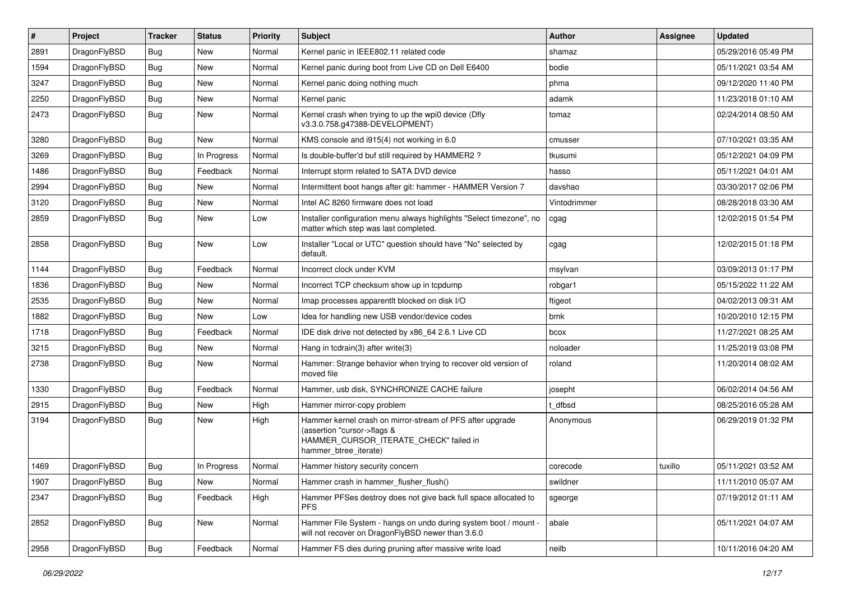| #    | Project      | <b>Tracker</b> | <b>Status</b> | <b>Priority</b> | Subject                                                                                                                                                     | <b>Author</b> | Assignee | <b>Updated</b>      |
|------|--------------|----------------|---------------|-----------------|-------------------------------------------------------------------------------------------------------------------------------------------------------------|---------------|----------|---------------------|
| 2891 | DragonFlyBSD | <b>Bug</b>     | <b>New</b>    | Normal          | Kernel panic in IEEE802.11 related code                                                                                                                     | shamaz        |          | 05/29/2016 05:49 PM |
| 1594 | DragonFlyBSD | <b>Bug</b>     | New           | Normal          | Kernel panic during boot from Live CD on Dell E6400                                                                                                         | bodie         |          | 05/11/2021 03:54 AM |
| 3247 | DragonFlyBSD | <b>Bug</b>     | New           | Normal          | Kernel panic doing nothing much                                                                                                                             | phma          |          | 09/12/2020 11:40 PM |
| 2250 | DragonFlyBSD | <b>Bug</b>     | <b>New</b>    | Normal          | Kernel panic                                                                                                                                                | adamk         |          | 11/23/2018 01:10 AM |
| 2473 | DragonFlyBSD | <b>Bug</b>     | New           | Normal          | Kernel crash when trying to up the wpi0 device (Dfly<br>v3.3.0.758.g47388-DEVELOPMENT)                                                                      | tomaz         |          | 02/24/2014 08:50 AM |
| 3280 | DragonFlyBSD | <b>Bug</b>     | New           | Normal          | KMS console and i915(4) not working in 6.0                                                                                                                  | cmusser       |          | 07/10/2021 03:35 AM |
| 3269 | DragonFlyBSD | Bug            | In Progress   | Normal          | Is double-buffer'd buf still required by HAMMER2?                                                                                                           | tkusumi       |          | 05/12/2021 04:09 PM |
| 1486 | DragonFlyBSD | Bug            | Feedback      | Normal          | Interrupt storm related to SATA DVD device                                                                                                                  | hasso         |          | 05/11/2021 04:01 AM |
| 2994 | DragonFlyBSD | <b>Bug</b>     | New           | Normal          | Intermittent boot hangs after git: hammer - HAMMER Version 7                                                                                                | davshao       |          | 03/30/2017 02:06 PM |
| 3120 | DragonFlyBSD | <b>Bug</b>     | New           | Normal          | Intel AC 8260 firmware does not load                                                                                                                        | Vintodrimmer  |          | 08/28/2018 03:30 AM |
| 2859 | DragonFlyBSD | <b>Bug</b>     | New           | Low             | Installer configuration menu always highlights "Select timezone", no<br>matter which step was last completed.                                               | cgag          |          | 12/02/2015 01:54 PM |
| 2858 | DragonFlyBSD | Bug            | New           | Low             | Installer "Local or UTC" question should have "No" selected by<br>default.                                                                                  | cgag          |          | 12/02/2015 01:18 PM |
| 1144 | DragonFlyBSD | <b>Bug</b>     | Feedback      | Normal          | Incorrect clock under KVM                                                                                                                                   | msylvan       |          | 03/09/2013 01:17 PM |
| 1836 | DragonFlyBSD | <b>Bug</b>     | New           | Normal          | Incorrect TCP checksum show up in tcpdump                                                                                                                   | robgar1       |          | 05/15/2022 11:22 AM |
| 2535 | DragonFlyBSD | <b>Bug</b>     | New           | Normal          | Imap processes apparentlt blocked on disk I/O                                                                                                               | ftigeot       |          | 04/02/2013 09:31 AM |
| 1882 | DragonFlyBSD | <b>Bug</b>     | New           | Low             | Idea for handling new USB vendor/device codes                                                                                                               | bmk           |          | 10/20/2010 12:15 PM |
| 1718 | DragonFlyBSD | <b>Bug</b>     | Feedback      | Normal          | IDE disk drive not detected by x86 64 2.6.1 Live CD                                                                                                         | bcox          |          | 11/27/2021 08:25 AM |
| 3215 | DragonFlyBSD | <b>Bug</b>     | New           | Normal          | Hang in tcdrain(3) after write(3)                                                                                                                           | noloader      |          | 11/25/2019 03:08 PM |
| 2738 | DragonFlyBSD | <b>Bug</b>     | New           | Normal          | Hammer: Strange behavior when trying to recover old version of<br>moved file                                                                                | roland        |          | 11/20/2014 08:02 AM |
| 1330 | DragonFlyBSD | Bug            | Feedback      | Normal          | Hammer, usb disk, SYNCHRONIZE CACHE failure                                                                                                                 | josepht       |          | 06/02/2014 04:56 AM |
| 2915 | DragonFlyBSD | <b>Bug</b>     | New           | High            | Hammer mirror-copy problem                                                                                                                                  | t dfbsd       |          | 08/25/2016 05:28 AM |
| 3194 | DragonFlyBSD | <b>Bug</b>     | New           | High            | Hammer kernel crash on mirror-stream of PFS after upgrade<br>(assertion "cursor->flags &<br>HAMMER CURSOR ITERATE CHECK" failed in<br>hammer_btree_iterate) | Anonymous     |          | 06/29/2019 01:32 PM |
| 1469 | DragonFlyBSD | Bug            | In Progress   | Normal          | Hammer history security concern                                                                                                                             | corecode      | tuxillo  | 05/11/2021 03:52 AM |
| 1907 | DragonFlyBSD | <b>Bug</b>     | New           | Normal          | Hammer crash in hammer_flusher_flush()                                                                                                                      | swildner      |          | 11/11/2010 05:07 AM |
| 2347 | DragonFlyBSD | Bug            | Feedback      | High            | Hammer PFSes destroy does not give back full space allocated to<br><b>PFS</b>                                                                               | sgeorge       |          | 07/19/2012 01:11 AM |
| 2852 | DragonFlyBSD | <b>Bug</b>     | New           | Normal          | Hammer File System - hangs on undo during system boot / mount -<br>will not recover on DragonFlyBSD newer than 3.6.0                                        | abale         |          | 05/11/2021 04:07 AM |
| 2958 | DragonFlyBSD | <b>Bug</b>     | Feedback      | Normal          | Hammer FS dies during pruning after massive write load                                                                                                      | neilb         |          | 10/11/2016 04:20 AM |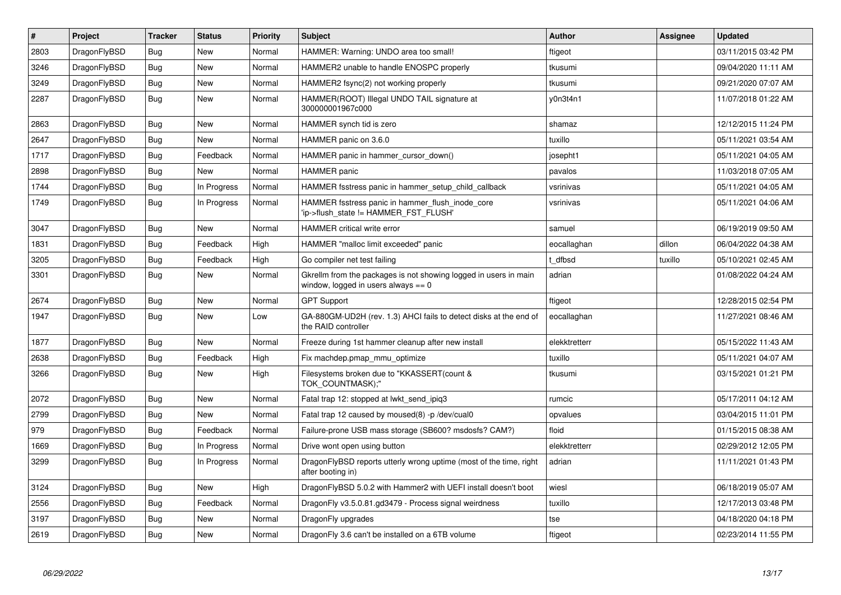| $\vert$ # | <b>Project</b> | <b>Tracker</b> | <b>Status</b> | <b>Priority</b> | <b>Subject</b>                                                                                            | <b>Author</b> | Assignee | <b>Updated</b>      |
|-----------|----------------|----------------|---------------|-----------------|-----------------------------------------------------------------------------------------------------------|---------------|----------|---------------------|
| 2803      | DragonFlyBSD   | <b>Bug</b>     | <b>New</b>    | Normal          | HAMMER: Warning: UNDO area too small!                                                                     | ftigeot       |          | 03/11/2015 03:42 PM |
| 3246      | DragonFlyBSD   | Bug            | <b>New</b>    | Normal          | HAMMER2 unable to handle ENOSPC properly                                                                  | tkusumi       |          | 09/04/2020 11:11 AM |
| 3249      | DragonFlyBSD   | <b>Bug</b>     | <b>New</b>    | Normal          | HAMMER2 fsync(2) not working properly                                                                     | tkusumi       |          | 09/21/2020 07:07 AM |
| 2287      | DragonFlyBSD   | Bug            | <b>New</b>    | Normal          | HAMMER(ROOT) Illegal UNDO TAIL signature at<br>300000001967c000                                           | y0n3t4n1      |          | 11/07/2018 01:22 AM |
| 2863      | DragonFlyBSD   | <b>Bug</b>     | <b>New</b>    | Normal          | HAMMER synch tid is zero                                                                                  | shamaz        |          | 12/12/2015 11:24 PM |
| 2647      | DragonFlyBSD   | <b>Bug</b>     | <b>New</b>    | Normal          | HAMMER panic on 3.6.0                                                                                     | tuxillo       |          | 05/11/2021 03:54 AM |
| 1717      | DragonFlyBSD   | Bug            | Feedback      | Normal          | HAMMER panic in hammer cursor down()                                                                      | josepht1      |          | 05/11/2021 04:05 AM |
| 2898      | DragonFlyBSD   | <b>Bug</b>     | <b>New</b>    | Normal          | <b>HAMMER</b> panic                                                                                       | pavalos       |          | 11/03/2018 07:05 AM |
| 1744      | DragonFlyBSD   | <b>Bug</b>     | In Progress   | Normal          | HAMMER fsstress panic in hammer setup child callback                                                      | vsrinivas     |          | 05/11/2021 04:05 AM |
| 1749      | DragonFlyBSD   | Bug            | In Progress   | Normal          | HAMMER fsstress panic in hammer flush inode core<br>'ip->flush_state != HAMMER_FST_FLUSH'                 | vsrinivas     |          | 05/11/2021 04:06 AM |
| 3047      | DragonFlyBSD   | Bug            | <b>New</b>    | Normal          | <b>HAMMER</b> critical write error                                                                        | samuel        |          | 06/19/2019 09:50 AM |
| 1831      | DragonFlyBSD   | <b>Bug</b>     | Feedback      | High            | HAMMER "malloc limit exceeded" panic                                                                      | eocallaghan   | dillon   | 06/04/2022 04:38 AM |
| 3205      | DragonFlyBSD   | <b>Bug</b>     | Feedback      | High            | Go compiler net test failing                                                                              | t dfbsd       | tuxillo  | 05/10/2021 02:45 AM |
| 3301      | DragonFlyBSD   | <b>Bug</b>     | <b>New</b>    | Normal          | Gkrellm from the packages is not showing logged in users in main<br>window, logged in users always $== 0$ | adrian        |          | 01/08/2022 04:24 AM |
| 2674      | DragonFlyBSD   | <b>Bug</b>     | <b>New</b>    | Normal          | <b>GPT Support</b>                                                                                        | ftigeot       |          | 12/28/2015 02:54 PM |
| 1947      | DragonFlyBSD   | <b>Bug</b>     | <b>New</b>    | Low             | GA-880GM-UD2H (rev. 1.3) AHCI fails to detect disks at the end of<br>the RAID controller                  | eocallaghan   |          | 11/27/2021 08:46 AM |
| 1877      | DragonFlyBSD   | Bug            | <b>New</b>    | Normal          | Freeze during 1st hammer cleanup after new install                                                        | elekktretterr |          | 05/15/2022 11:43 AM |
| 2638      | DragonFlyBSD   | Bug            | Feedback      | High            | Fix machdep.pmap_mmu_optimize                                                                             | tuxillo       |          | 05/11/2021 04:07 AM |
| 3266      | DragonFlyBSD   | <b>Bug</b>     | <b>New</b>    | High            | Filesystems broken due to "KKASSERT(count &<br>TOK COUNTMASK);"                                           | tkusumi       |          | 03/15/2021 01:21 PM |
| 2072      | DragonFlyBSD   | Bug            | <b>New</b>    | Normal          | Fatal trap 12: stopped at lwkt send ipig3                                                                 | rumcic        |          | 05/17/2011 04:12 AM |
| 2799      | DragonFlyBSD   | <b>Bug</b>     | New           | Normal          | Fatal trap 12 caused by moused(8) -p /dev/cual0                                                           | opvalues      |          | 03/04/2015 11:01 PM |
| 979       | DragonFlyBSD   | <b>Bug</b>     | Feedback      | Normal          | Failure-prone USB mass storage (SB600? msdosfs? CAM?)                                                     | floid         |          | 01/15/2015 08:38 AM |
| 1669      | DragonFlyBSD   | <b>Bug</b>     | In Progress   | Normal          | Drive wont open using button                                                                              | elekktretterr |          | 02/29/2012 12:05 PM |
| 3299      | DragonFlyBSD   | <b>Bug</b>     | In Progress   | Normal          | DragonFlyBSD reports utterly wrong uptime (most of the time, right<br>after booting in)                   | adrian        |          | 11/11/2021 01:43 PM |
| 3124      | DragonFlyBSD   | <b>Bug</b>     | <b>New</b>    | High            | DragonFlyBSD 5.0.2 with Hammer2 with UEFI install doesn't boot                                            | wiesl         |          | 06/18/2019 05:07 AM |
| 2556      | DragonFlyBSD   | Bug            | Feedback      | Normal          | DragonFly v3.5.0.81.gd3479 - Process signal weirdness                                                     | tuxillo       |          | 12/17/2013 03:48 PM |
| 3197      | DragonFlyBSD   | <b>Bug</b>     | <b>New</b>    | Normal          | DragonFly upgrades                                                                                        | tse           |          | 04/18/2020 04:18 PM |
| 2619      | DragonFlyBSD   | Bug            | <b>New</b>    | Normal          | Dragon Fly 3.6 can't be installed on a 6TB volume                                                         | ftigeot       |          | 02/23/2014 11:55 PM |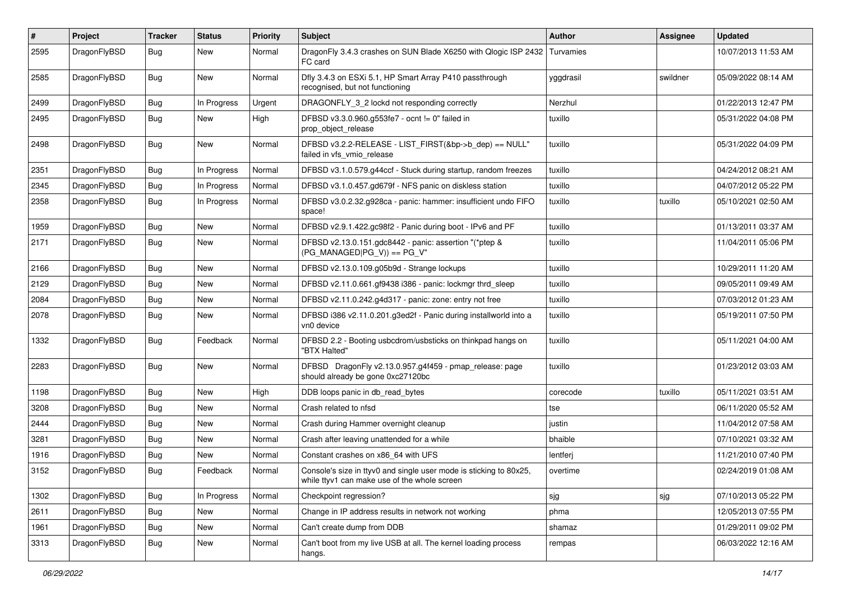| #    | Project      | <b>Tracker</b> | <b>Status</b> | <b>Priority</b> | Subject                                                                                                            | <b>Author</b> | Assignee | <b>Updated</b>      |
|------|--------------|----------------|---------------|-----------------|--------------------------------------------------------------------------------------------------------------------|---------------|----------|---------------------|
| 2595 | DragonFlyBSD | Bug            | New           | Normal          | DragonFly 3.4.3 crashes on SUN Blade X6250 with Qlogic ISP 2432   Turvamies<br>FC card                             |               |          | 10/07/2013 11:53 AM |
| 2585 | DragonFlyBSD | <b>Bug</b>     | New           | Normal          | Dfly 3.4.3 on ESXi 5.1, HP Smart Array P410 passthrough<br>recognised, but not functioning                         | yggdrasil     | swildner | 05/09/2022 08:14 AM |
| 2499 | DragonFlyBSD | Bug            | In Progress   | Urgent          | DRAGONFLY_3_2 lockd not responding correctly                                                                       | Nerzhul       |          | 01/22/2013 12:47 PM |
| 2495 | DragonFlyBSD | <b>Bug</b>     | New           | High            | DFBSD v3.3.0.960.g553fe7 - ocnt != 0" failed in<br>prop_object_release                                             | tuxillo       |          | 05/31/2022 04:08 PM |
| 2498 | DragonFlyBSD | <b>Bug</b>     | New           | Normal          | DFBSD v3.2.2-RELEASE - LIST_FIRST(&bp->b_dep) == NULL"<br>failed in vfs vmio release                               | tuxillo       |          | 05/31/2022 04:09 PM |
| 2351 | DragonFlyBSD | Bug            | In Progress   | Normal          | DFBSD v3.1.0.579.g44ccf - Stuck during startup, random freezes                                                     | tuxillo       |          | 04/24/2012 08:21 AM |
| 2345 | DragonFlyBSD | <b>Bug</b>     | In Progress   | Normal          | DFBSD v3.1.0.457.gd679f - NFS panic on diskless station                                                            | tuxillo       |          | 04/07/2012 05:22 PM |
| 2358 | DragonFlyBSD | <b>Bug</b>     | In Progress   | Normal          | DFBSD v3.0.2.32.g928ca - panic: hammer: insufficient undo FIFO<br>space!                                           | tuxillo       | tuxillo  | 05/10/2021 02:50 AM |
| 1959 | DragonFlyBSD | Bug            | <b>New</b>    | Normal          | DFBSD v2.9.1.422.gc98f2 - Panic during boot - IPv6 and PF                                                          | tuxillo       |          | 01/13/2011 03:37 AM |
| 2171 | DragonFlyBSD | Bug            | <b>New</b>    | Normal          | DFBSD v2.13.0.151.gdc8442 - panic: assertion "(*ptep &<br>$(PG MANAGED PG V)) == PG V"$                            | tuxillo       |          | 11/04/2011 05:06 PM |
| 2166 | DragonFlyBSD | Bug            | <b>New</b>    | Normal          | DFBSD v2.13.0.109.g05b9d - Strange lockups                                                                         | tuxillo       |          | 10/29/2011 11:20 AM |
| 2129 | DragonFlyBSD | <b>Bug</b>     | <b>New</b>    | Normal          | DFBSD v2.11.0.661.gf9438 i386 - panic: lockmgr thrd_sleep                                                          | tuxillo       |          | 09/05/2011 09:49 AM |
| 2084 | DragonFlyBSD | Bug            | New           | Normal          | DFBSD v2.11.0.242.g4d317 - panic: zone: entry not free                                                             | tuxillo       |          | 07/03/2012 01:23 AM |
| 2078 | DragonFlyBSD | <b>Bug</b>     | New           | Normal          | DFBSD i386 v2.11.0.201.g3ed2f - Panic during installworld into a<br>vn0 device                                     | tuxillo       |          | 05/19/2011 07:50 PM |
| 1332 | DragonFlyBSD | Bug            | Feedback      | Normal          | DFBSD 2.2 - Booting usbcdrom/usbsticks on thinkpad hangs on<br>"BTX Halted"                                        | tuxillo       |          | 05/11/2021 04:00 AM |
| 2283 | DragonFlyBSD | Bug            | New           | Normal          | DFBSD DragonFly v2.13.0.957.g4f459 - pmap_release: page<br>should already be gone 0xc27120bc                       | tuxillo       |          | 01/23/2012 03:03 AM |
| 1198 | DragonFlyBSD | Bug            | <b>New</b>    | High            | DDB loops panic in db_read_bytes                                                                                   | corecode      | tuxillo  | 05/11/2021 03:51 AM |
| 3208 | DragonFlyBSD | <b>Bug</b>     | New           | Normal          | Crash related to nfsd                                                                                              | tse           |          | 06/11/2020 05:52 AM |
| 2444 | DragonFlyBSD | <b>Bug</b>     | New           | Normal          | Crash during Hammer overnight cleanup                                                                              | justin        |          | 11/04/2012 07:58 AM |
| 3281 | DragonFlyBSD | Bug            | <b>New</b>    | Normal          | Crash after leaving unattended for a while                                                                         | bhaible       |          | 07/10/2021 03:32 AM |
| 1916 | DragonFlyBSD | <b>Bug</b>     | New           | Normal          | Constant crashes on x86_64 with UFS                                                                                | lentferj      |          | 11/21/2010 07:40 PM |
| 3152 | DragonFlyBSD | Bug            | Feedback      | Normal          | Console's size in ttyv0 and single user mode is sticking to 80x25.<br>while ttyv1 can make use of the whole screen | overtime      |          | 02/24/2019 01:08 AM |
| 1302 | DragonFlyBSD | <b>Bug</b>     | In Progress   | Normal          | Checkpoint regression?                                                                                             | sjg           | sjg      | 07/10/2013 05:22 PM |
| 2611 | DragonFlyBSD | <b>Bug</b>     | New           | Normal          | Change in IP address results in network not working                                                                | phma          |          | 12/05/2013 07:55 PM |
| 1961 | DragonFlyBSD | <b>Bug</b>     | New           | Normal          | Can't create dump from DDB                                                                                         | shamaz        |          | 01/29/2011 09:02 PM |
| 3313 | DragonFlyBSD | <b>Bug</b>     | New           | Normal          | Can't boot from my live USB at all. The kernel loading process<br>hangs.                                           | rempas        |          | 06/03/2022 12:16 AM |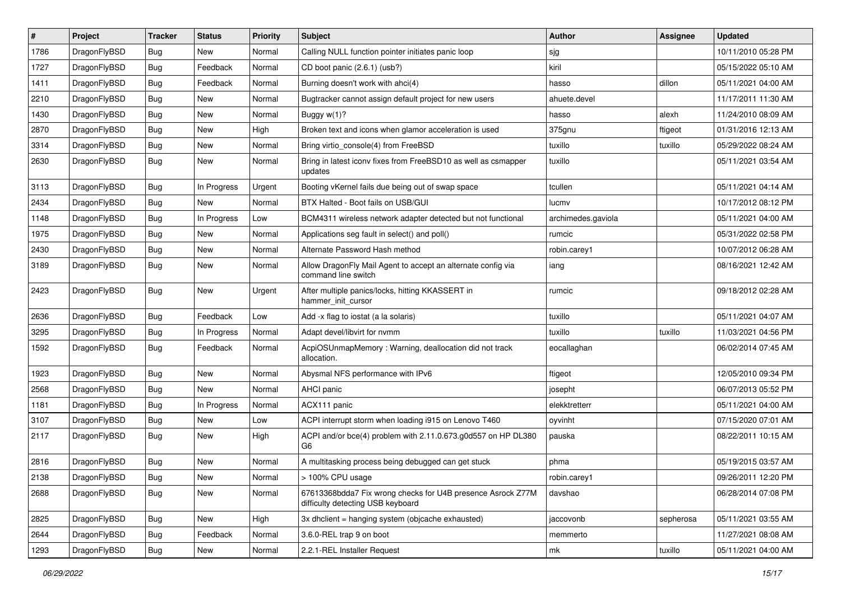| $\sharp$ | Project      | <b>Tracker</b> | <b>Status</b> | <b>Priority</b> | Subject                                                                                          | <b>Author</b>      | Assignee  | <b>Updated</b>      |
|----------|--------------|----------------|---------------|-----------------|--------------------------------------------------------------------------------------------------|--------------------|-----------|---------------------|
| 1786     | DragonFlyBSD | <b>Bug</b>     | New           | Normal          | Calling NULL function pointer initiates panic loop                                               | sjg                |           | 10/11/2010 05:28 PM |
| 1727     | DragonFlyBSD | Bug            | Feedback      | Normal          | CD boot panic (2.6.1) (usb?)                                                                     | kiril              |           | 05/15/2022 05:10 AM |
| 1411     | DragonFlyBSD | <b>Bug</b>     | Feedback      | Normal          | Burning doesn't work with ahci(4)                                                                | hasso              | dillon    | 05/11/2021 04:00 AM |
| 2210     | DragonFlyBSD | <b>Bug</b>     | New           | Normal          | Bugtracker cannot assign default project for new users                                           | ahuete.devel       |           | 11/17/2011 11:30 AM |
| 1430     | DragonFlyBSD | Bug            | New           | Normal          | Buggy w(1)?                                                                                      | hasso              | alexh     | 11/24/2010 08:09 AM |
| 2870     | DragonFlyBSD | <b>Bug</b>     | <b>New</b>    | High            | Broken text and icons when glamor acceleration is used                                           | 375gnu             | ftigeot   | 01/31/2016 12:13 AM |
| 3314     | DragonFlyBSD | Bug            | New           | Normal          | Bring virtio_console(4) from FreeBSD                                                             | tuxillo            | tuxillo   | 05/29/2022 08:24 AM |
| 2630     | DragonFlyBSD | Bug            | <b>New</b>    | Normal          | Bring in latest iconv fixes from FreeBSD10 as well as csmapper<br>updates                        | tuxillo            |           | 05/11/2021 03:54 AM |
| 3113     | DragonFlyBSD | Bug            | In Progress   | Urgent          | Booting vKernel fails due being out of swap space                                                | tcullen            |           | 05/11/2021 04:14 AM |
| 2434     | DragonFlyBSD | Bug            | New           | Normal          | BTX Halted - Boot fails on USB/GUI                                                               | lucmv              |           | 10/17/2012 08:12 PM |
| 1148     | DragonFlyBSD | Bug            | In Progress   | Low             | BCM4311 wireless network adapter detected but not functional                                     | archimedes.gaviola |           | 05/11/2021 04:00 AM |
| 1975     | DragonFlyBSD | <b>Bug</b>     | New           | Normal          | Applications seg fault in select() and poll()                                                    | rumcic             |           | 05/31/2022 02:58 PM |
| 2430     | DragonFlyBSD | Bug            | <b>New</b>    | Normal          | Alternate Password Hash method                                                                   | robin.carey1       |           | 10/07/2012 06:28 AM |
| 3189     | DragonFlyBSD | Bug            | New           | Normal          | Allow DragonFly Mail Agent to accept an alternate config via<br>command line switch              | iang               |           | 08/16/2021 12:42 AM |
| 2423     | DragonFlyBSD | Bug            | New           | Urgent          | After multiple panics/locks, hitting KKASSERT in<br>hammer_init_cursor                           | rumcic             |           | 09/18/2012 02:28 AM |
| 2636     | DragonFlyBSD | Bug            | Feedback      | Low             | Add -x flag to iostat (a la solaris)                                                             | tuxillo            |           | 05/11/2021 04:07 AM |
| 3295     | DragonFlyBSD | <b>Bug</b>     | In Progress   | Normal          | Adapt devel/libvirt for nvmm                                                                     | tuxillo            | tuxillo   | 11/03/2021 04:56 PM |
| 1592     | DragonFlyBSD | Bug            | Feedback      | Normal          | AcpiOSUnmapMemory: Warning, deallocation did not track<br>allocation.                            | eocallaghan        |           | 06/02/2014 07:45 AM |
| 1923     | DragonFlyBSD | Bug            | New           | Normal          | Abysmal NFS performance with IPv6                                                                | ftigeot            |           | 12/05/2010 09:34 PM |
| 2568     | DragonFlyBSD | Bug            | New           | Normal          | AHCI panic                                                                                       | josepht            |           | 06/07/2013 05:52 PM |
| 1181     | DragonFlyBSD | Bug            | In Progress   | Normal          | ACX111 panic                                                                                     | elekktretterr      |           | 05/11/2021 04:00 AM |
| 3107     | DragonFlyBSD | Bug            | <b>New</b>    | Low             | ACPI interrupt storm when loading i915 on Lenovo T460                                            | oyvinht            |           | 07/15/2020 07:01 AM |
| 2117     | DragonFlyBSD | Bug            | New           | High            | ACPI and/or bce(4) problem with 2.11.0.673.g0d557 on HP DL380<br>G <sub>6</sub>                  | pauska             |           | 08/22/2011 10:15 AM |
| 2816     | DragonFlyBSD | Bug            | New           | Normal          | A multitasking process being debugged can get stuck                                              | phma               |           | 05/19/2015 03:57 AM |
| 2138     | DragonFlyBSD | <b>Bug</b>     | <b>New</b>    | Normal          | > 100% CPU usage                                                                                 | robin.carey1       |           | 09/26/2011 12:20 PM |
| 2688     | DragonFlyBSD | <b>Bug</b>     | New           | Normal          | 67613368bdda7 Fix wrong checks for U4B presence Asrock Z77M<br>difficulty detecting USB keyboard | davshao            |           | 06/28/2014 07:08 PM |
| 2825     | DragonFlyBSD | <b>Bug</b>     | New           | High            | 3x dhclient = hanging system (objcache exhausted)                                                | jaccovonb          | sepherosa | 05/11/2021 03:55 AM |
| 2644     | DragonFlyBSD | <b>Bug</b>     | Feedback      | Normal          | 3.6.0-REL trap 9 on boot                                                                         | memmerto           |           | 11/27/2021 08:08 AM |
| 1293     | DragonFlyBSD | <b>Bug</b>     | New           | Normal          | 2.2.1-REL Installer Request                                                                      | mk                 | tuxillo   | 05/11/2021 04:00 AM |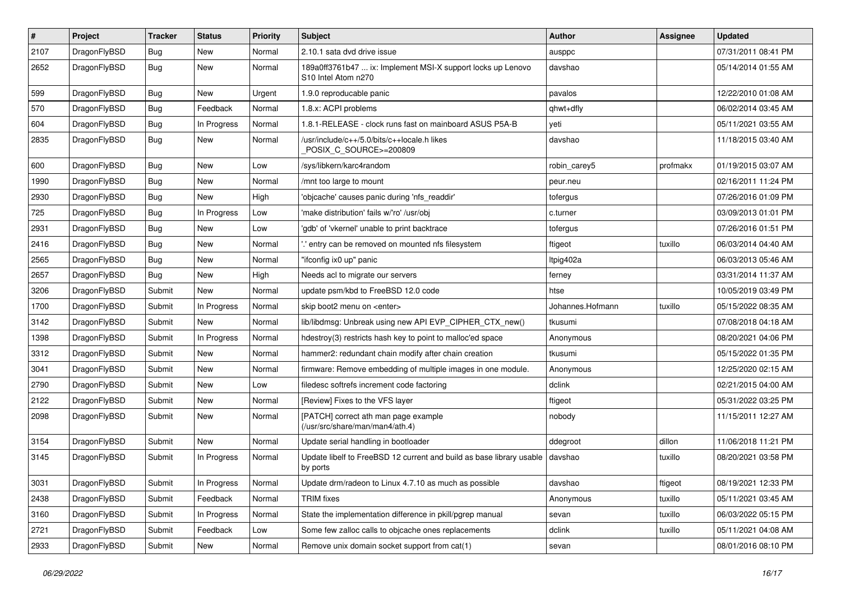| $\sharp$ | Project      | <b>Tracker</b> | <b>Status</b> | <b>Priority</b> | Subject                                                                                                    | <b>Author</b>    | Assignee | <b>Updated</b>      |
|----------|--------------|----------------|---------------|-----------------|------------------------------------------------------------------------------------------------------------|------------------|----------|---------------------|
| 2107     | DragonFlyBSD | Bug            | <b>New</b>    | Normal          | 2.10.1 sata dvd drive issue                                                                                | ausppc           |          | 07/31/2011 08:41 PM |
| 2652     | DragonFlyBSD | <b>Bug</b>     | New           | Normal          | 189a0ff3761b47  ix: Implement MSI-X support locks up Lenovo<br>S <sub>10</sub> Intel Atom n <sub>270</sub> | davshao          |          | 05/14/2014 01:55 AM |
| 599      | DragonFlyBSD | Bug            | New           | Urgent          | 1.9.0 reproducable panic                                                                                   | pavalos          |          | 12/22/2010 01:08 AM |
| 570      | DragonFlyBSD | Bug            | Feedback      | Normal          | 1.8.x: ACPI problems                                                                                       | qhwt+dfly        |          | 06/02/2014 03:45 AM |
| 604      | DragonFlyBSD | Bug            | In Progress   | Normal          | 1.8.1-RELEASE - clock runs fast on mainboard ASUS P5A-B                                                    | yeti             |          | 05/11/2021 03:55 AM |
| 2835     | DragonFlyBSD | <b>Bug</b>     | New           | Normal          | /usr/include/c++/5.0/bits/c++locale.h likes<br>POSIX C SOURCE>=200809                                      | davshao          |          | 11/18/2015 03:40 AM |
| 600      | DragonFlyBSD | Bug            | <b>New</b>    | Low             | /sys/libkern/karc4random                                                                                   | robin carey5     | profmakx | 01/19/2015 03:07 AM |
| 1990     | DragonFlyBSD | Bug            | <b>New</b>    | Normal          | /mnt too large to mount                                                                                    | peur.neu         |          | 02/16/2011 11:24 PM |
| 2930     | DragonFlyBSD | Bug            | New           | High            | 'objcache' causes panic during 'nfs readdir'                                                               | tofergus         |          | 07/26/2016 01:09 PM |
| 725      | DragonFlyBSD | Bug            | In Progress   | Low             | 'make distribution' fails w/'ro' /usr/obj                                                                  | c.turner         |          | 03/09/2013 01:01 PM |
| 2931     | DragonFlyBSD | Bug            | New           | Low             | 'gdb' of 'vkernel' unable to print backtrace                                                               | tofergus         |          | 07/26/2016 01:51 PM |
| 2416     | DragonFlyBSD | Bug            | New           | Normal          | ".' entry can be removed on mounted nfs filesystem                                                         | ftigeot          | tuxillo  | 06/03/2014 04:40 AM |
| 2565     | DragonFlyBSD | Bug            | New           | Normal          | "ifconfig ix0 up" panic                                                                                    | Itpig402a        |          | 06/03/2013 05:46 AM |
| 2657     | DragonFlyBSD | Bug            | New           | High            | Needs acl to migrate our servers                                                                           | ferney           |          | 03/31/2014 11:37 AM |
| 3206     | DragonFlyBSD | Submit         | <b>New</b>    | Normal          | update psm/kbd to FreeBSD 12.0 code                                                                        | htse             |          | 10/05/2019 03:49 PM |
| 1700     | DragonFlyBSD | Submit         | In Progress   | Normal          | skip boot2 menu on <enter></enter>                                                                         | Johannes.Hofmann | tuxillo  | 05/15/2022 08:35 AM |
| 3142     | DragonFlyBSD | Submit         | <b>New</b>    | Normal          | lib/libdmsg: Unbreak using new API EVP_CIPHER_CTX_new()                                                    | tkusumi          |          | 07/08/2018 04:18 AM |
| 1398     | DragonFlyBSD | Submit         | In Progress   | Normal          | hdestroy(3) restricts hash key to point to malloc'ed space                                                 | Anonymous        |          | 08/20/2021 04:06 PM |
| 3312     | DragonFlyBSD | Submit         | New           | Normal          | hammer2: redundant chain modify after chain creation                                                       | tkusumi          |          | 05/15/2022 01:35 PM |
| 3041     | DragonFlyBSD | Submit         | New           | Normal          | firmware: Remove embedding of multiple images in one module.                                               | Anonymous        |          | 12/25/2020 02:15 AM |
| 2790     | DragonFlyBSD | Submit         | New           | Low             | filedesc softrefs increment code factoring                                                                 | dclink           |          | 02/21/2015 04:00 AM |
| 2122     | DragonFlyBSD | Submit         | New           | Normal          | [Review] Fixes to the VFS layer                                                                            | ftigeot          |          | 05/31/2022 03:25 PM |
| 2098     | DragonFlyBSD | Submit         | New           | Normal          | [PATCH] correct ath man page example<br>(/usr/src/share/man/man4/ath.4)                                    | nobody           |          | 11/15/2011 12:27 AM |
| 3154     | DragonFlyBSD | Submit         | New           | Normal          | Update serial handling in bootloader                                                                       | ddegroot         | dillon   | 11/06/2018 11:21 PM |
| 3145     | DragonFlyBSD | Submit         | In Progress   | Normal          | Update libelf to FreeBSD 12 current and build as base library usable<br>by ports                           | davshao          | tuxillo  | 08/20/2021 03:58 PM |
| 3031     | DragonFlyBSD | Submit         | In Progress   | Normal          | Update drm/radeon to Linux 4.7.10 as much as possible                                                      | davshao          | ftigeot  | 08/19/2021 12:33 PM |
| 2438     | DragonFlyBSD | Submit         | Feedback      | Normal          | <b>TRIM</b> fixes                                                                                          | Anonymous        | tuxillo  | 05/11/2021 03:45 AM |
| 3160     | DragonFlyBSD | Submit         | In Progress   | Normal          | State the implementation difference in pkill/pgrep manual                                                  | sevan            | tuxillo  | 06/03/2022 05:15 PM |
| 2721     | DragonFlyBSD | Submit         | Feedback      | Low             | Some few zalloc calls to objcache ones replacements                                                        | dclink           | tuxillo  | 05/11/2021 04:08 AM |
| 2933     | DragonFlyBSD | Submit         | New           | Normal          | Remove unix domain socket support from cat(1)                                                              | sevan            |          | 08/01/2016 08:10 PM |